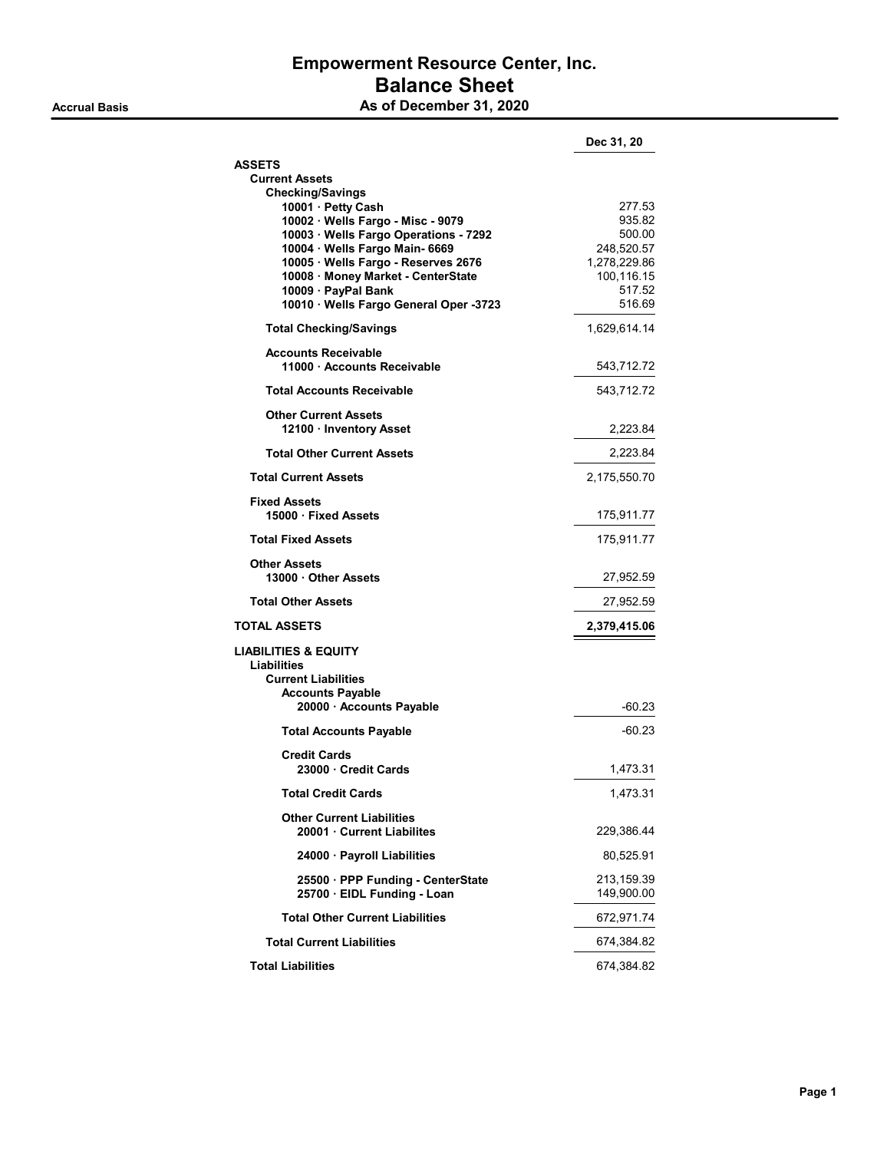# Empowerment Resource Center, Inc. Balance Sheet

|  | As of December 31, 2020 |  |
|--|-------------------------|--|
|--|-------------------------|--|

|                                                                  | Dec 31, 20               |
|------------------------------------------------------------------|--------------------------|
| <b>ASSETS</b>                                                    |                          |
| <b>Current Assets</b>                                            |                          |
| <b>Checking/Savings</b><br>10001 · Petty Cash                    | 277.53                   |
| 10002 · Wells Fargo - Misc - 9079                                | 935.82                   |
| 10003 · Wells Fargo Operations - 7292                            | 500.00                   |
| 10004 · Wells Fargo Main- 6669                                   | 248,520.57               |
| 10005 · Wells Fargo - Reserves 2676                              | 1,278,229.86             |
|                                                                  |                          |
| 10008 · Money Market - CenterState                               | 100,116.15               |
| 10009 · PayPal Bank                                              | 517.52                   |
| 10010 · Wells Fargo General Oper -3723                           | 516.69                   |
| <b>Total Checking/Savings</b>                                    | 1,629,614.14             |
| <b>Accounts Receivable</b>                                       |                          |
| 11000 Accounts Receivable                                        | 543,712.72               |
| <b>Total Accounts Receivable</b>                                 | 543,712.72               |
| <b>Other Current Assets</b><br>12100 · Inventory Asset           | 2,223.84                 |
| <b>Total Other Current Assets</b>                                | 2,223.84                 |
| <b>Total Current Assets</b>                                      | 2,175,550.70             |
|                                                                  |                          |
| <b>Fixed Assets</b><br>15000 Fixed Assets                        | 175,911.77               |
| <b>Total Fixed Assets</b>                                        | 175,911.77               |
| Other Assets<br>13000 Other Assets                               | 27,952.59                |
|                                                                  |                          |
| <b>Total Other Assets</b>                                        | 27,952.59                |
| <b>TOTAL ASSETS</b>                                              | 2,379,415.06             |
| <b>LIABILITIES &amp; EQUITY</b><br>Liabilities                   |                          |
| <b>Current Liabilities</b>                                       |                          |
| <b>Accounts Payable</b>                                          |                          |
| 20000 · Accounts Payable                                         | -60.23                   |
| <b>Total Accounts Payable</b>                                    | $-60.23$                 |
| <b>Credit Cards</b>                                              |                          |
| 23000 Credit Cards                                               | 1,473.31                 |
| <b>Total Credit Cards</b>                                        | 1,473.31                 |
| <b>Other Current Liabilities</b><br>20001 Current Liabilites     | 229,386.44               |
| 24000 · Payroll Liabilities                                      | 80,525.91                |
| 25500 · PPP Funding - CenterState<br>25700 · EIDL Funding - Loan | 213,159.39<br>149,900.00 |
| <b>Total Other Current Liabilities</b>                           | 672,971.74               |
| <b>Total Current Liabilities</b>                                 | 674,384.82               |
| <b>Total Liabilities</b>                                         | 674,384.82               |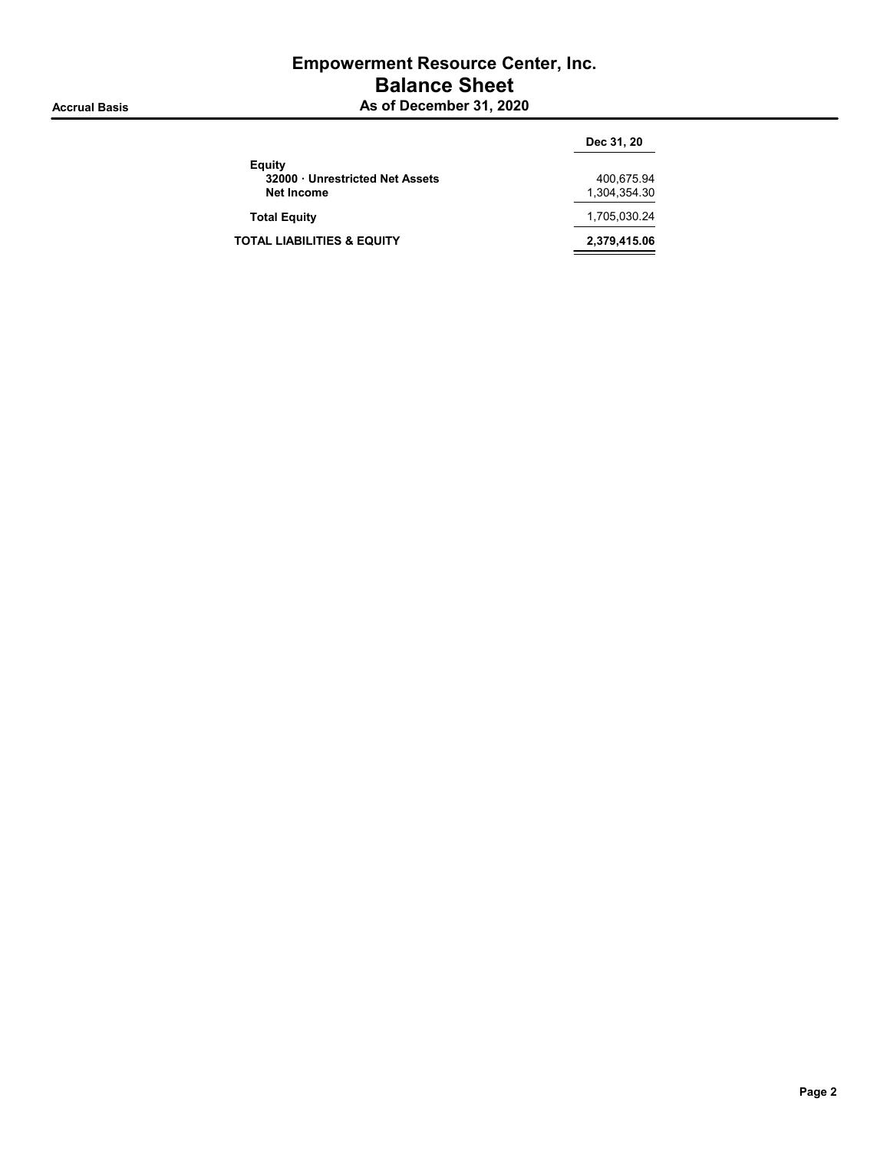### Empowerment Resource Center, Inc. Balance Sheet As of December 31, 2020

|                                                       | Dec 31, 20                 |
|-------------------------------------------------------|----------------------------|
| Equity<br>32000 Unrestricted Net Assets<br>Net Income | 400.675.94<br>1,304,354.30 |
| <b>Total Equity</b>                                   | 1,705,030.24               |
| <b>TOTAL LIABILITIES &amp; EQUITY</b>                 | 2,379,415.06               |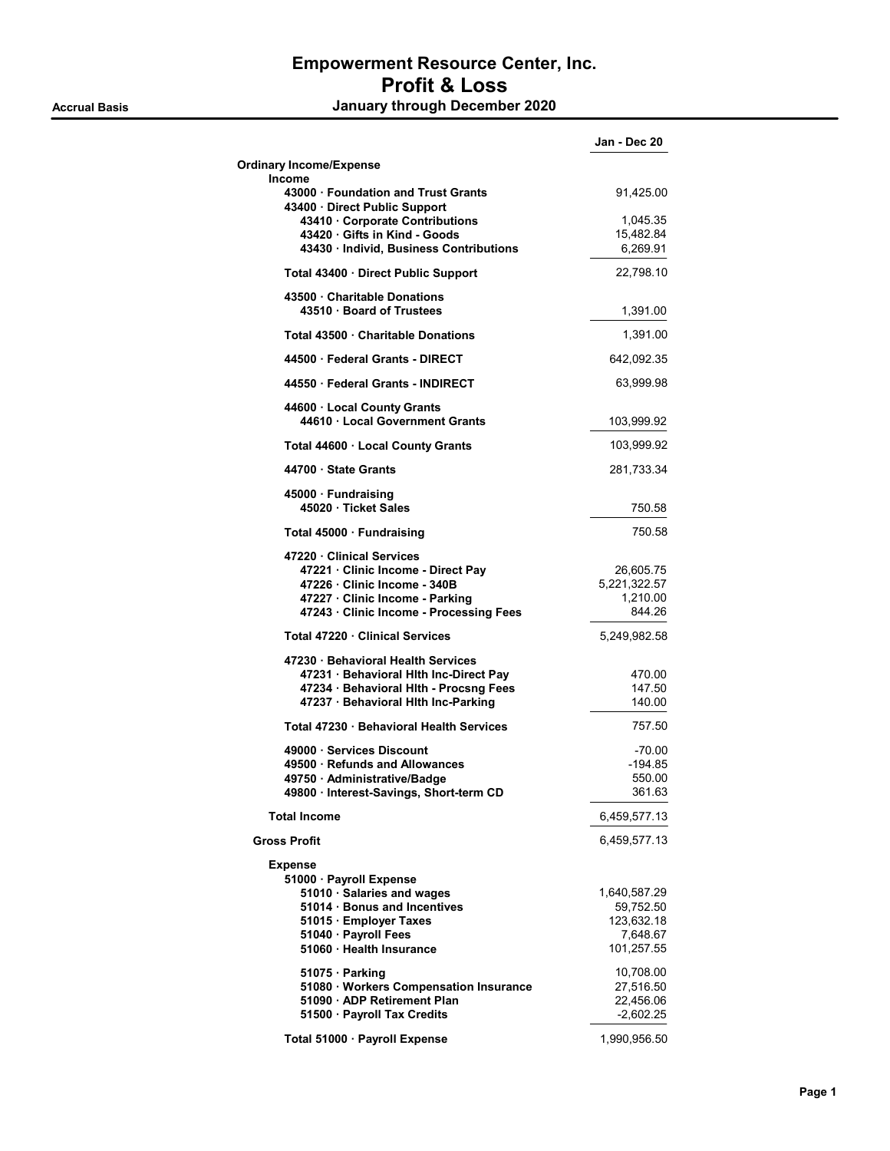#### Accrual Basis **Accrual Basis January through December 2020**

|                                                                                                                                                                       | Jan - Dec 20                                    |
|-----------------------------------------------------------------------------------------------------------------------------------------------------------------------|-------------------------------------------------|
| <b>Ordinary Income/Expense</b><br><b>Income</b>                                                                                                                       |                                                 |
| 43000 Foundation and Trust Grants<br>43400 · Direct Public Support                                                                                                    | 91,425.00                                       |
| 43410 Corporate Contributions<br>43420 Gifts in Kind - Goods<br>43430 · Individ, Business Contributions                                                               | 1,045.35<br>15,482.84<br>6,269.91               |
| Total 43400 · Direct Public Support                                                                                                                                   | 22,798.10                                       |
| 43500 Charitable Donations<br>43510 · Board of Trustees                                                                                                               | 1,391.00                                        |
| Total 43500 Charitable Donations                                                                                                                                      | 1,391.00                                        |
| 44500 Federal Grants - DIRECT                                                                                                                                         | 642,092.35                                      |
| 44550 Federal Grants - INDIRECT                                                                                                                                       | 63,999.98                                       |
| 44600 Local County Grants<br>44610 Local Government Grants                                                                                                            | 103,999.92                                      |
| Total 44600 · Local County Grants                                                                                                                                     | 103,999.92                                      |
| 44700 State Grants                                                                                                                                                    | 281,733.34                                      |
| 45000 · Fundraising<br>45020 Ticket Sales                                                                                                                             | 750.58                                          |
| Total 45000 Fundraising                                                                                                                                               | 750.58                                          |
| 47220 Clinical Services<br>47221 · Clinic Income - Direct Pay<br>47226 Clinic Income - 340B<br>47227 Clinic Income - Parking<br>47243 Clinic Income - Processing Fees | 26,605.75<br>5,221,322.57<br>1,210.00<br>844.26 |
| Total 47220 Clinical Services                                                                                                                                         | 5,249,982.58                                    |
| 47230 Behavioral Health Services<br>47231 · Behavioral Hith Inc-Direct Pay<br>47234 · Behavioral Hith - Procsng Fees<br>47237 · Behavioral Hith Inc-Parking           | 470.00<br>147.50<br>140.00                      |
| Total 47230 Behavioral Health Services                                                                                                                                | 757.50                                          |
| 49000 Services Discount<br>49500 · Refunds and Allowances<br>49750 · Administrative/Badge<br>49800 Interest-Savings, Short-term CD                                    | -70.00<br>-194.85<br>550.00<br>361.63           |
| <b>Total Income</b>                                                                                                                                                   | 6,459,577.13                                    |
| <b>Gross Profit</b>                                                                                                                                                   | 6,459,577.13                                    |
| <b>Expense</b><br>51000 · Payroll Expense                                                                                                                             |                                                 |
| 51010 · Salaries and wages                                                                                                                                            | 1,640,587.29                                    |
| 51014 · Bonus and Incentives                                                                                                                                          | 59,752.50                                       |
| 51015 · Employer Taxes<br>51040 · Payroll Fees                                                                                                                        | 123,632.18                                      |
| 51060 · Health Insurance                                                                                                                                              | 7,648.67<br>101,257.55                          |
| 51075 Parking                                                                                                                                                         | 10,708.00                                       |
| 51080 · Workers Compensation Insurance                                                                                                                                | 27,516.50                                       |
| 51090 ADP Retirement Plan                                                                                                                                             | 22,456.06                                       |
| 51500 · Payroll Tax Credits                                                                                                                                           | $-2,602.25$                                     |
| Total 51000 · Payroll Expense                                                                                                                                         | 1,990,956.50                                    |

Page 1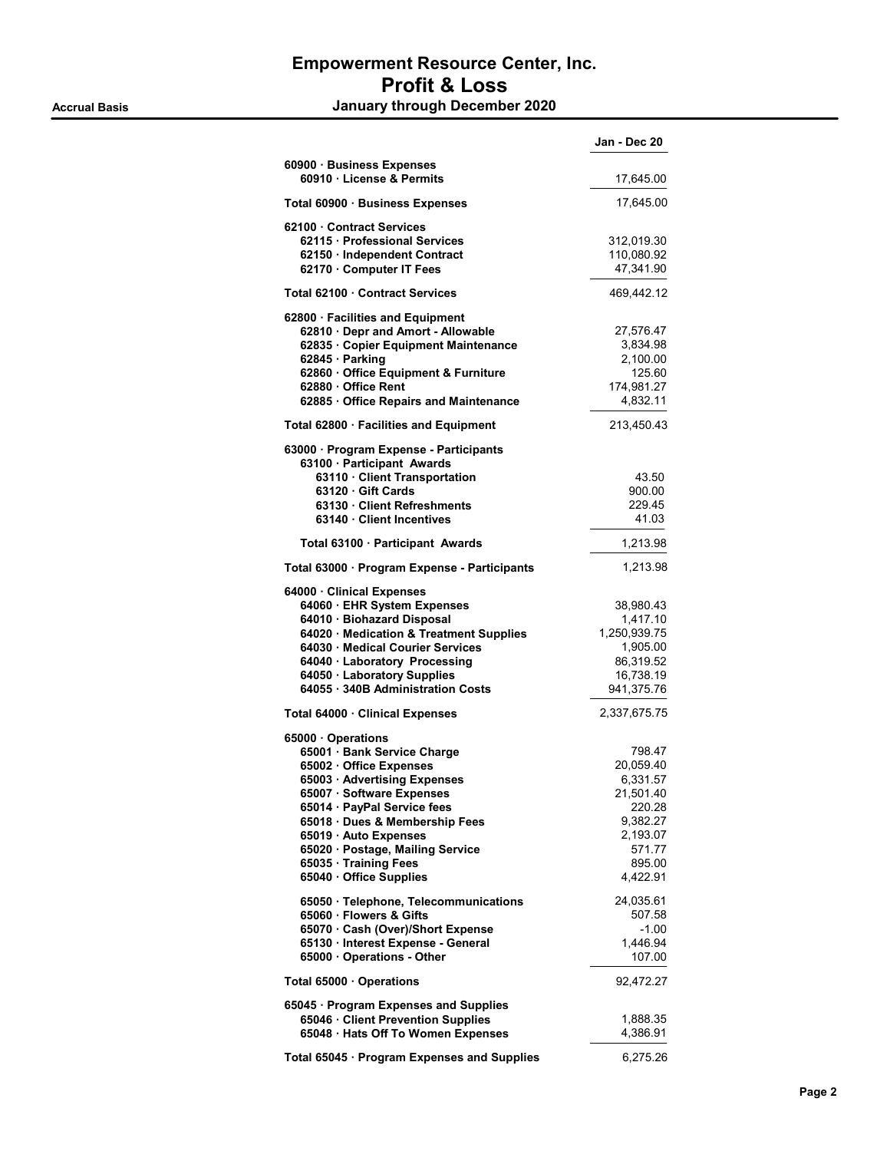|                                                                                                                                                                                                                                                                                                                         | Jan - Dec 20                                                                                                   |
|-------------------------------------------------------------------------------------------------------------------------------------------------------------------------------------------------------------------------------------------------------------------------------------------------------------------------|----------------------------------------------------------------------------------------------------------------|
| 60900 · Business Expenses<br>60910 · License & Permits                                                                                                                                                                                                                                                                  | 17,645.00                                                                                                      |
| Total 60900 · Business Expenses                                                                                                                                                                                                                                                                                         | 17,645.00                                                                                                      |
| 62100 Contract Services<br>62115 · Professional Services<br>62150 · Independent Contract<br>62170 · Computer IT Fees                                                                                                                                                                                                    | 312,019.30<br>110,080.92<br>47,341.90                                                                          |
| Total 62100 Contract Services                                                                                                                                                                                                                                                                                           | 469,442.12                                                                                                     |
| 62800 · Facilities and Equipment<br>62810 · Depr and Amort - Allowable<br>62835 Copier Equipment Maintenance<br>62845 · Parking<br>62860 Office Equipment & Furniture<br>62880 Office Rent<br>62885 Office Repairs and Maintenance                                                                                      | 27,576.47<br>3,834.98<br>2,100.00<br>125.60<br>174,981.27<br>4,832.11                                          |
| Total 62800 · Facilities and Equipment                                                                                                                                                                                                                                                                                  | 213,450.43                                                                                                     |
| 63000 · Program Expense - Participants<br>63100 · Participant Awards<br>63110 · Client Transportation<br>63120 Gift Cards<br>63130 · Client Refreshments<br>63140 Client Incentives                                                                                                                                     | 43.50<br>900.00<br>229.45<br>41.03                                                                             |
| Total 63100 · Participant Awards                                                                                                                                                                                                                                                                                        | 1,213.98                                                                                                       |
| Total 63000 · Program Expense - Participants                                                                                                                                                                                                                                                                            | 1,213.98                                                                                                       |
| 64000 · Clinical Expenses<br>64060 · EHR System Expenses<br>64010 · Biohazard Disposal<br>64020 · Medication & Treatment Supplies<br>64030 Medical Courier Services<br>64040 · Laboratory Processing<br>64050 · Laboratory Supplies<br>64055 · 340B Administration Costs                                                | 38,980.43<br>1,417.10<br>1,250,939.75<br>1,905.00<br>86,319.52<br>16,738.19<br>941,375.76                      |
| Total 64000 · Clinical Expenses                                                                                                                                                                                                                                                                                         | 2,337,675.75                                                                                                   |
| 65000 · Operations<br>65001 · Bank Service Charge<br>65002 · Office Expenses<br>65003 · Advertising Expenses<br>65007 · Software Expenses<br>65014 · PayPal Service fees<br>65018 · Dues & Membership Fees<br>65019 Auto Expenses<br>65020 · Postage, Mailing Service<br>65035 · Training Fees<br>65040 Office Supplies | 798.47<br>20,059.40<br>6,331.57<br>21,501.40<br>220.28<br>9,382.27<br>2,193.07<br>571.77<br>895.00<br>4,422.91 |
| 65050 · Telephone, Telecommunications<br>65060 Flowers & Gifts<br>65070 · Cash (Over)/Short Expense<br>65130 · Interest Expense - General<br>65000 Operations - Other                                                                                                                                                   | 24,035.61<br>507.58<br>-1.00<br>1,446.94<br>107.00                                                             |
| Total 65000 Operations                                                                                                                                                                                                                                                                                                  | 92,472.27                                                                                                      |
| 65045 · Program Expenses and Supplies<br>65046 · Client Prevention Supplies<br>65048 · Hats Off To Women Expenses                                                                                                                                                                                                       | 1,888.35<br>4,386.91                                                                                           |
| Total 65045 · Program Expenses and Supplies                                                                                                                                                                                                                                                                             | 6,275.26                                                                                                       |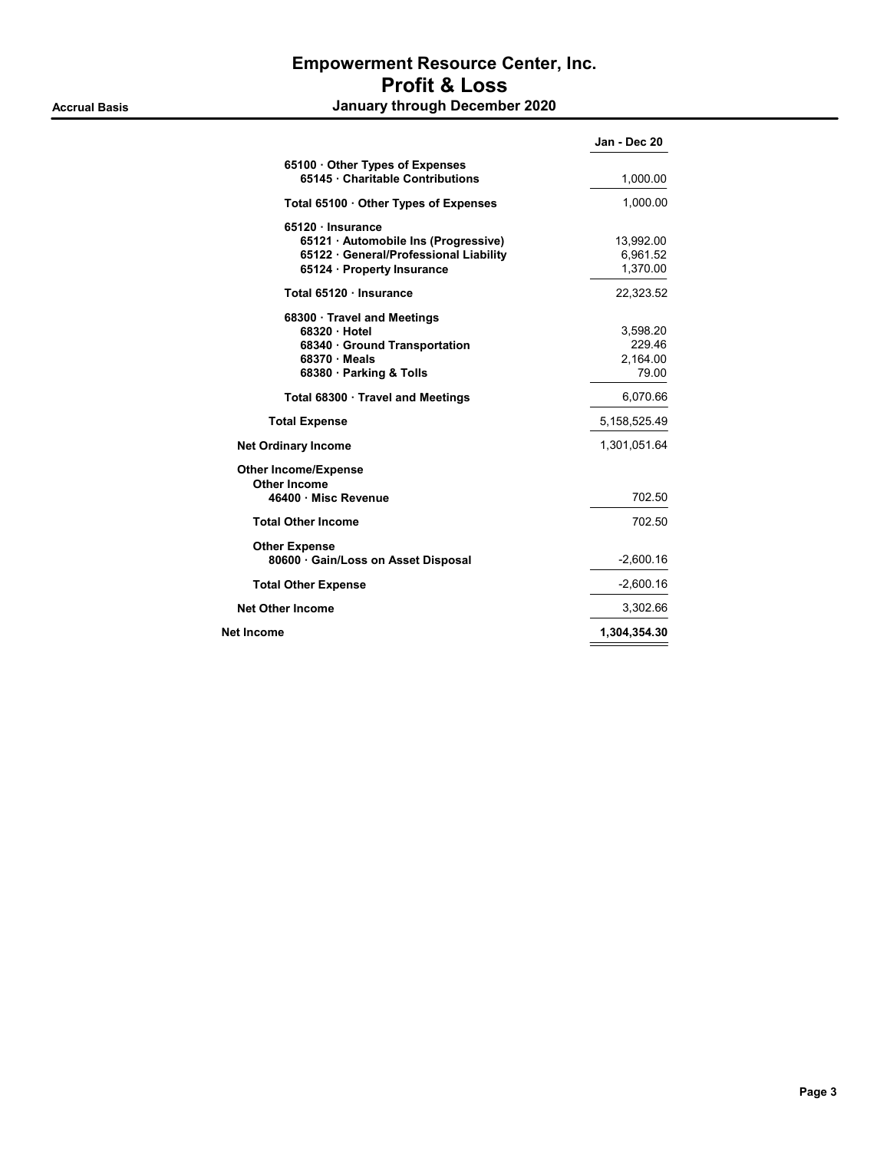|                                                                                                                               | Jan - Dec 20                            |
|-------------------------------------------------------------------------------------------------------------------------------|-----------------------------------------|
| 65100 Other Types of Expenses<br>65145 Charitable Contributions                                                               | 1,000.00                                |
| Total 65100 Other Types of Expenses                                                                                           | 1,000.00                                |
| 65120 Insurance<br>65121 · Automobile Ins (Progressive)<br>65122 · General/Professional Liability<br>65124 Property Insurance | 13,992.00<br>6,961.52<br>1,370.00       |
| Total 65120 · Insurance                                                                                                       | 22,323.52                               |
| 68300 Travel and Meetings<br>68320 Hotel<br>68340 Ground Transportation<br>68370 Meals<br>68380 · Parking & Tolls             | 3,598.20<br>229.46<br>2,164.00<br>79.00 |
| Total 68300 Travel and Meetings                                                                                               | 6,070.66                                |
| <b>Total Expense</b>                                                                                                          | 5,158,525.49                            |
| <b>Net Ordinary Income</b>                                                                                                    | 1,301,051.64                            |
| <b>Other Income/Expense</b><br><b>Other Income</b><br>46400 Misc Revenue                                                      | 702.50                                  |
| <b>Total Other Income</b>                                                                                                     | 702.50                                  |
| <b>Other Expense</b><br>80600 · Gain/Loss on Asset Disposal                                                                   | $-2,600.16$                             |
| <b>Total Other Expense</b>                                                                                                    | $-2,600.16$                             |
| <b>Net Other Income</b>                                                                                                       | 3,302.66                                |
| <b>Net Income</b>                                                                                                             | 1,304,354.30                            |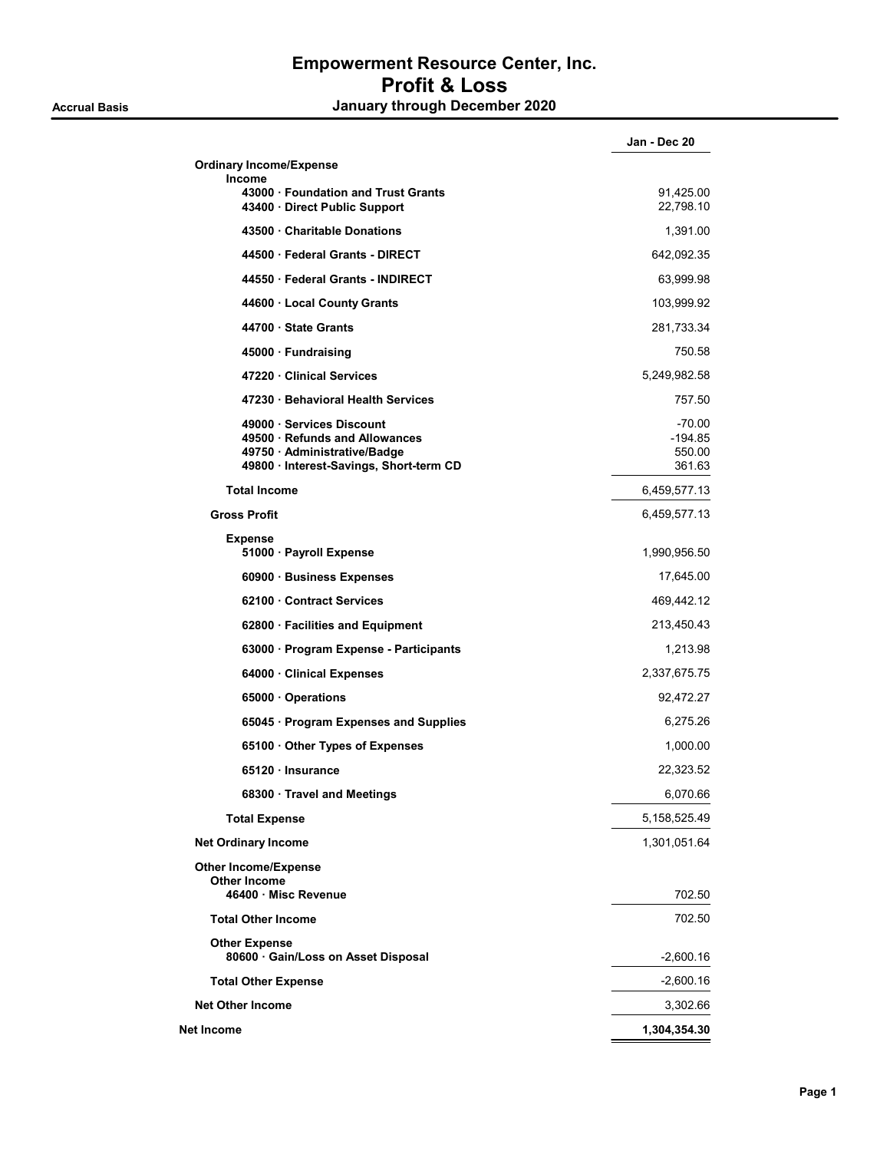|                                                                                                                                        | Jan - Dec 20                          |
|----------------------------------------------------------------------------------------------------------------------------------------|---------------------------------------|
| <b>Ordinary Income/Expense</b><br><b>Income</b>                                                                                        |                                       |
| 43000 Foundation and Trust Grants<br>43400 · Direct Public Support                                                                     | 91,425.00<br>22,798.10                |
| 43500 Charitable Donations                                                                                                             | 1,391.00                              |
| 44500 Federal Grants - DIRECT                                                                                                          | 642,092.35                            |
| 44550 Federal Grants - INDIRECT                                                                                                        | 63,999.98                             |
| 44600 Local County Grants                                                                                                              | 103,999.92                            |
| 44700 State Grants                                                                                                                     | 281,733.34                            |
| 45000 · Fundraising                                                                                                                    | 750.58                                |
| 47220 Clinical Services                                                                                                                | 5,249,982.58                          |
| 47230 Behavioral Health Services                                                                                                       | 757.50                                |
| 49000 · Services Discount<br>49500 · Refunds and Allowances<br>49750 · Administrative/Badge<br>49800 · Interest-Savings, Short-term CD | -70.00<br>-194.85<br>550.00<br>361.63 |
| <b>Total Income</b>                                                                                                                    | 6,459,577.13                          |
| <b>Gross Profit</b>                                                                                                                    | 6,459,577.13                          |
| <b>Expense</b><br>51000 · Payroll Expense                                                                                              | 1,990,956.50                          |
| 60900 · Business Expenses                                                                                                              | 17,645.00                             |
| 62100 Contract Services                                                                                                                | 469,442.12                            |
| 62800 · Facilities and Equipment                                                                                                       | 213,450.43                            |
| 63000 · Program Expense - Participants                                                                                                 | 1,213.98                              |
| 64000 · Clinical Expenses                                                                                                              | 2,337,675.75                          |
| 65000 Operations                                                                                                                       | 92,472.27                             |
| $65045 \cdot$ Program Expenses and Supplies                                                                                            | 6,275.26                              |
| 65100 Other Types of Expenses                                                                                                          | 1,000.00                              |
| 65120 Insurance                                                                                                                        | 22,323.52                             |
| 68300 · Travel and Meetings                                                                                                            | 6,070.66                              |
| <b>Total Expense</b>                                                                                                                   | 5, 158, 525.49                        |
| <b>Net Ordinary Income</b>                                                                                                             | 1,301,051.64                          |
| <b>Other Income/Expense</b><br><b>Other Income</b><br>46400 Misc Revenue                                                               | 702.50                                |
| <b>Total Other Income</b>                                                                                                              | 702.50                                |
| <b>Other Expense</b><br>80600 · Gain/Loss on Asset Disposal                                                                            | $-2,600.16$                           |
| <b>Total Other Expense</b>                                                                                                             | $-2,600.16$                           |
| <b>Net Other Income</b>                                                                                                                | 3,302.66                              |
| Net Income                                                                                                                             | 1,304,354.30                          |
|                                                                                                                                        |                                       |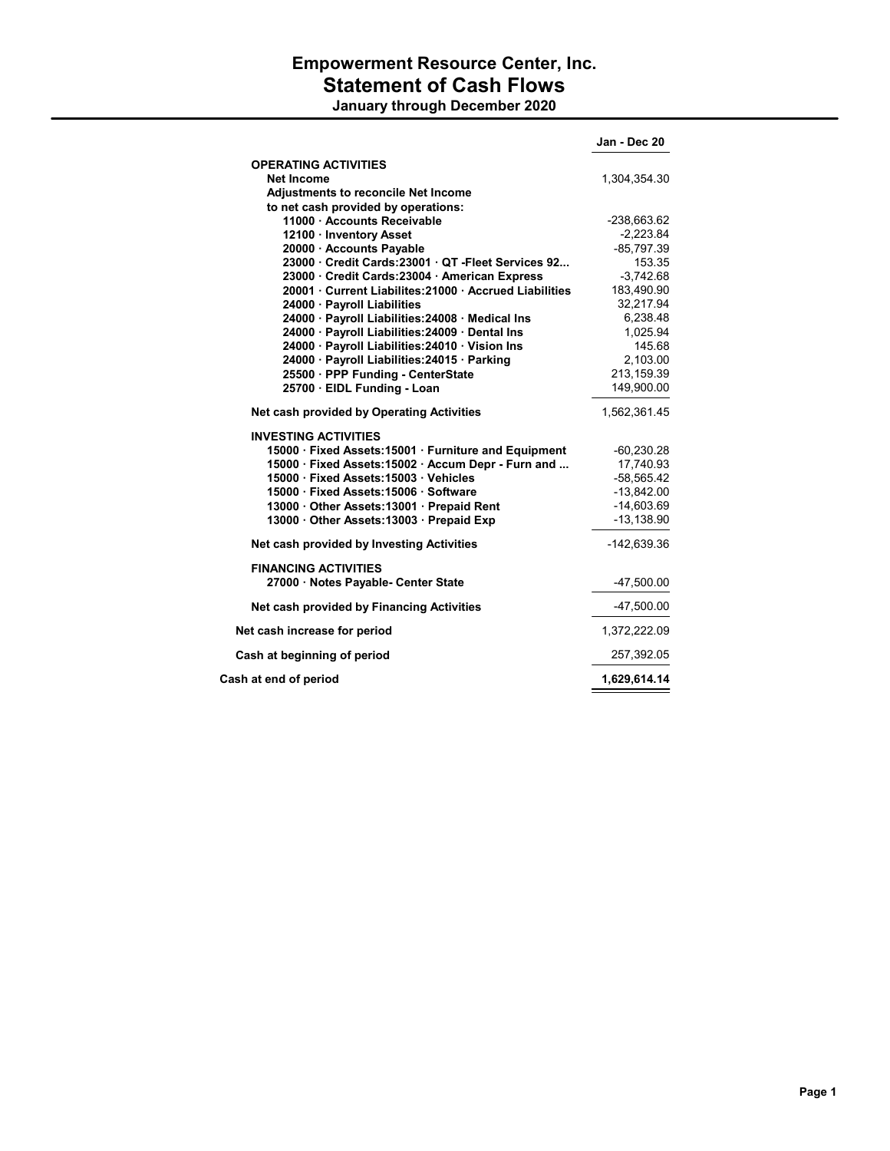# Empowerment Resource Center, Inc. Statement of Cash Flows

January through December 2020

|                                                       | Jan - Dec 20 |
|-------------------------------------------------------|--------------|
| <b>OPERATING ACTIVITIES</b>                           |              |
| Net Income                                            | 1,304,354.30 |
| <b>Adjustments to reconcile Net Income</b>            |              |
| to net cash provided by operations:                   |              |
| 11000 Accounts Receivable                             | -238,663.62  |
| 12100 Inventory Asset                                 | $-2,223.84$  |
| 20000 · Accounts Payable                              | $-85,797.39$ |
| 23000 Credit Cards: 23001 QT - Fleet Services 92      | 153.35       |
| 23000 Credit Cards: 23004 American Express            | $-3.742.68$  |
| 20001 Current Liabilites: 21000 Accrued Liabilities   | 183,490.90   |
| 24000 Payroll Liabilities                             | 32,217.94    |
| 24000 · Payroll Liabilities: 24008 · Medical Ins      | 6,238.48     |
| 24000 · Payroll Liabilities: 24009 · Dental Ins       | 1,025.94     |
| 24000 Payroll Liabilities: 24010 Vision Ins           | 145.68       |
| 24000 · Payroll Liabilities: 24015 · Parking          | 2,103.00     |
| 25500 · PPP Funding - CenterState                     | 213,159.39   |
| 25700 · EIDL Funding - Loan                           | 149,900.00   |
| Net cash provided by Operating Activities             | 1,562,361.45 |
| <b>INVESTING ACTIVITIES</b>                           |              |
| 15000 · Fixed Assets: 15001 · Furniture and Equipment | $-60,230.28$ |
| 15000 · Fixed Assets: 15002 · Accum Depr - Furn and   | 17,740.93    |
| 15000 Fixed Assets: 15003 Vehicles                    | $-58,565.42$ |
| 15000 Fixed Assets: 15006 Software                    | $-13,842.00$ |
| 13000 Other Assets: 13001 Prepaid Rent                | $-14,603.69$ |
| 13000 Other Assets: 13003 Prepaid Exp                 | $-13,138.90$ |
| Net cash provided by Investing Activities             | -142,639.36  |
| <b>FINANCING ACTIVITIES</b>                           |              |
| 27000 · Notes Payable- Center State                   | -47,500.00   |
| Net cash provided by Financing Activities             | -47,500.00   |
| Net cash increase for period                          | 1,372,222.09 |
| Cash at beginning of period                           | 257,392.05   |
| Cash at end of period                                 | 1,629,614.14 |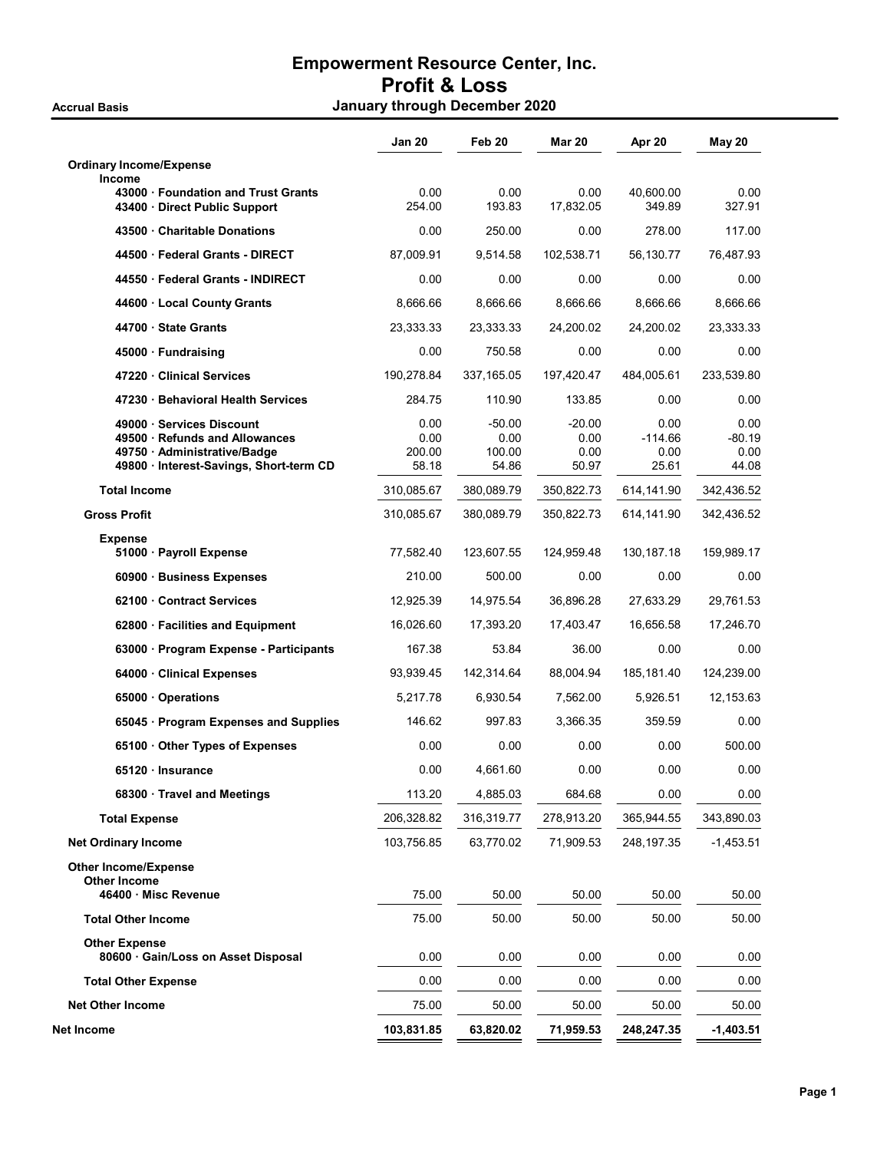|                                                                                                                                      | Jan 20                          | Feb 20                              | <b>Mar 20</b>                   | Apr 20                             | <b>May 20</b>                     |
|--------------------------------------------------------------------------------------------------------------------------------------|---------------------------------|-------------------------------------|---------------------------------|------------------------------------|-----------------------------------|
| <b>Ordinary Income/Expense</b>                                                                                                       |                                 |                                     |                                 |                                    |                                   |
| <b>Income</b><br>43000 Foundation and Trust Grants<br>43400 Direct Public Support                                                    | 0.00<br>254.00                  | 0.00<br>193.83                      | 0.00<br>17,832.05               | 40,600.00<br>349.89                | 0.00<br>327.91                    |
| 43500 Charitable Donations                                                                                                           | 0.00                            | 250.00                              | 0.00                            | 278.00                             | 117.00                            |
| 44500 Federal Grants - DIRECT                                                                                                        | 87,009.91                       | 9,514.58                            | 102,538.71                      | 56,130.77                          | 76,487.93                         |
| 44550 Federal Grants - INDIRECT                                                                                                      | 0.00                            | 0.00                                | 0.00                            | 0.00                               | 0.00                              |
| 44600 · Local County Grants                                                                                                          | 8,666.66                        | 8,666.66                            | 8,666.66                        | 8,666.66                           | 8,666.66                          |
| 44700 State Grants                                                                                                                   | 23,333.33                       | 23,333.33                           | 24,200.02                       | 24,200.02                          | 23,333.33                         |
| 45000 Fundraising                                                                                                                    | 0.00                            | 750.58                              | 0.00                            | 0.00                               | 0.00                              |
| 47220 Clinical Services                                                                                                              | 190,278.84                      | 337,165.05                          | 197,420.47                      | 484,005.61                         | 233,539.80                        |
| 47230 Behavioral Health Services                                                                                                     | 284.75                          | 110.90                              | 133.85                          | 0.00                               | 0.00                              |
| 49000 Services Discount<br>49500 · Refunds and Allowances<br>49750 - Administrative/Badge<br>49800 · Interest-Savings, Short-term CD | 0.00<br>0.00<br>200.00<br>58.18 | $-50.00$<br>0.00<br>100.00<br>54.86 | -20.00<br>0.00<br>0.00<br>50.97 | 0.00<br>$-114.66$<br>0.00<br>25.61 | 0.00<br>$-80.19$<br>0.00<br>44.08 |
| <b>Total Income</b>                                                                                                                  | 310,085.67                      | 380,089.79                          | 350,822.73                      | 614,141.90                         | 342,436.52                        |
| <b>Gross Profit</b>                                                                                                                  | 310,085.67                      | 380,089.79                          | 350,822.73                      | 614,141.90                         | 342,436.52                        |
| <b>Expense</b><br>51000 · Payroll Expense                                                                                            | 77,582.40                       | 123,607.55                          | 124,959.48                      | 130,187.18                         | 159,989.17                        |
| 60900 · Business Expenses                                                                                                            | 210.00                          | 500.00                              | 0.00                            | 0.00                               | 0.00                              |
| 62100 Contract Services                                                                                                              | 12,925.39                       | 14,975.54                           | 36,896.28                       | 27,633.29                          | 29,761.53                         |
| 62800 · Facilities and Equipment                                                                                                     | 16,026.60                       | 17,393.20                           | 17,403.47                       | 16,656.58                          | 17,246.70                         |
| 63000 · Program Expense - Participants                                                                                               | 167.38                          | 53.84                               | 36.00                           | 0.00                               | 0.00                              |
| 64000 Clinical Expenses                                                                                                              | 93,939.45                       | 142,314.64                          | 88,004.94                       | 185,181.40                         | 124,239.00                        |
| 65000 Operations                                                                                                                     | 5,217.78                        | 6,930.54                            | 7,562.00                        | 5,926.51                           | 12,153.63                         |
| 65045 · Program Expenses and Supplies                                                                                                | 146.62                          | 997.83                              | 3,366.35                        | 359.59                             | 0.00                              |
| 65100 Other Types of Expenses                                                                                                        | 0.00                            | 0.00                                | 0.00                            | 0.00                               | 500.00                            |
| 65120 · Insurance                                                                                                                    | 0.00                            | 4,661.60                            | 0.00                            | 0.00                               | 0.00                              |
| 68300 Travel and Meetings                                                                                                            | 113.20                          | 4,885.03                            | 684.68                          | 0.00                               | 0.00                              |
| <b>Total Expense</b>                                                                                                                 | 206,328.82                      | 316,319.77                          | 278,913.20                      | 365,944.55                         | 343,890.03                        |
| <b>Net Ordinary Income</b>                                                                                                           | 103,756.85                      | 63,770.02                           | 71,909.53                       | 248,197.35                         | $-1,453.51$                       |
| <b>Other Income/Expense</b><br><b>Other Income</b>                                                                                   |                                 |                                     |                                 |                                    |                                   |
| 46400 Misc Revenue                                                                                                                   | 75.00                           | 50.00                               | 50.00                           | 50.00                              | 50.00                             |
| <b>Total Other Income</b>                                                                                                            | 75.00                           | 50.00                               | 50.00                           | 50.00                              | 50.00                             |
| <b>Other Expense</b><br>80600 Gain/Loss on Asset Disposal                                                                            | 0.00                            | 0.00                                | 0.00                            | 0.00                               | 0.00                              |
| <b>Total Other Expense</b>                                                                                                           | 0.00                            | 0.00                                | 0.00                            | 0.00                               | 0.00                              |
| <b>Net Other Income</b>                                                                                                              | 75.00                           | 50.00                               | 50.00                           | 50.00                              | 50.00                             |
| Net Income                                                                                                                           | 103,831.85                      | 63,820.02                           | 71,959.53                       | 248,247.35                         | $-1,403.51$                       |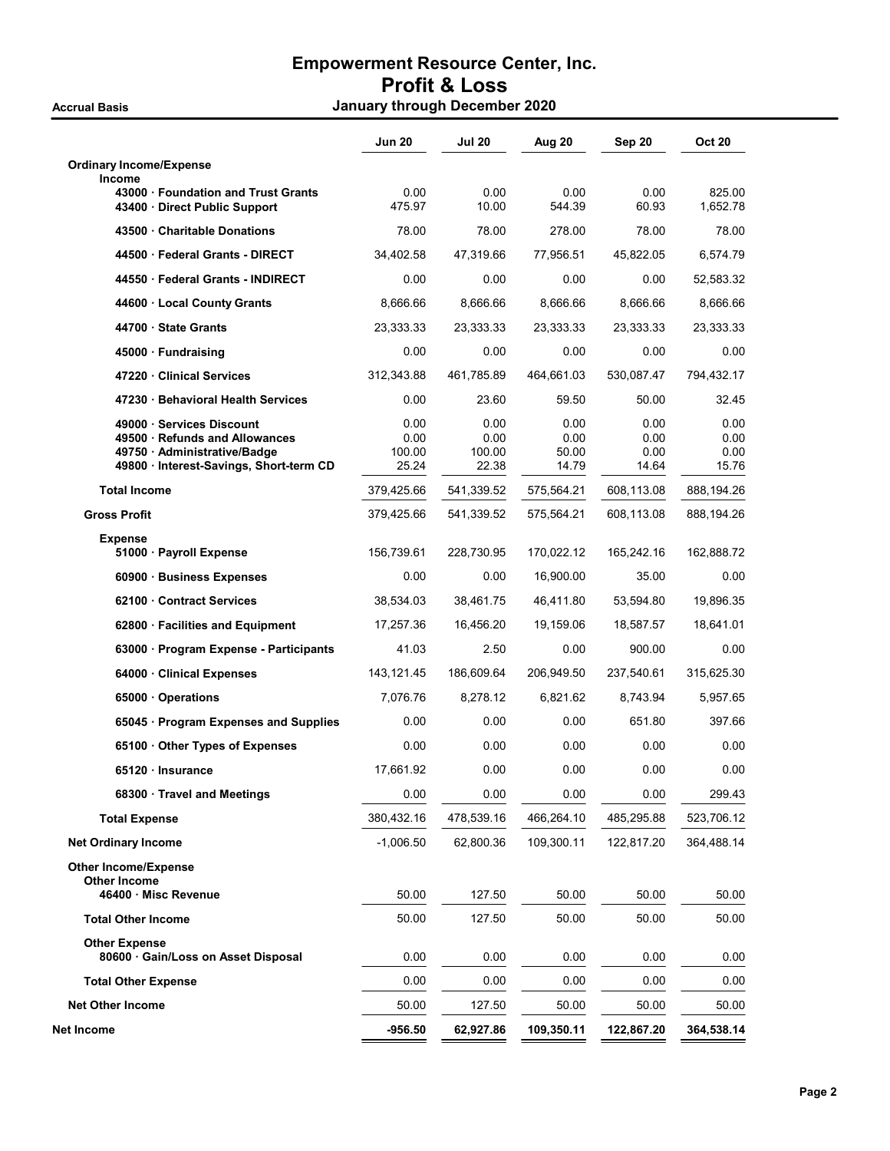|                                                                                                                                      | Jun 20                          | Jul 20                          | Aug 20                         | Sep 20                        | <b>Oct 20</b>                 |
|--------------------------------------------------------------------------------------------------------------------------------------|---------------------------------|---------------------------------|--------------------------------|-------------------------------|-------------------------------|
| <b>Ordinary Income/Expense</b>                                                                                                       |                                 |                                 |                                |                               |                               |
| <b>Income</b><br>43000 Foundation and Trust Grants<br>43400 Direct Public Support                                                    | 0.00<br>475.97                  | 0.00<br>10.00                   | 0.00<br>544.39                 | 0.00<br>60.93                 | 825.00<br>1,652.78            |
| 43500 Charitable Donations                                                                                                           | 78.00                           | 78.00                           | 278.00                         | 78.00                         | 78.00                         |
| 44500 Federal Grants - DIRECT                                                                                                        | 34,402.58                       | 47,319.66                       | 77,956.51                      | 45,822.05                     | 6,574.79                      |
| 44550 Federal Grants - INDIRECT                                                                                                      | 0.00                            | 0.00                            | 0.00                           | 0.00                          | 52.583.32                     |
| 44600 · Local County Grants                                                                                                          | 8,666.66                        | 8,666.66                        | 8,666.66                       | 8,666.66                      | 8,666.66                      |
| 44700 State Grants                                                                                                                   | 23,333.33                       | 23,333.33                       | 23,333.33                      | 23,333.33                     | 23,333.33                     |
| 45000 · Fundraising                                                                                                                  | 0.00                            | 0.00                            | 0.00                           | 0.00                          | 0.00                          |
| 47220 · Clinical Services                                                                                                            | 312,343.88                      | 461,785.89                      | 464,661.03                     | 530,087.47                    | 794,432.17                    |
| 47230 Behavioral Health Services                                                                                                     | 0.00                            | 23.60                           | 59.50                          | 50.00                         | 32.45                         |
| 49000 Services Discount<br>49500 · Refunds and Allowances<br>49750 - Administrative/Badge<br>49800 · Interest-Savings, Short-term CD | 0.00<br>0.00<br>100.00<br>25.24 | 0.00<br>0.00<br>100.00<br>22.38 | 0.00<br>0.00<br>50.00<br>14.79 | 0.00<br>0.00<br>0.00<br>14.64 | 0.00<br>0.00<br>0.00<br>15.76 |
| <b>Total Income</b>                                                                                                                  | 379,425.66                      | 541,339.52                      | 575,564.21                     | 608,113.08                    | 888,194.26                    |
| <b>Gross Profit</b>                                                                                                                  | 379,425.66                      | 541,339.52                      | 575,564.21                     | 608,113.08                    | 888,194.26                    |
| <b>Expense</b><br>51000 · Payroll Expense                                                                                            | 156,739.61                      | 228,730.95                      | 170,022.12                     | 165,242.16                    | 162,888.72                    |
| 60900 · Business Expenses                                                                                                            | 0.00                            | 0.00                            | 16,900.00                      | 35.00                         | 0.00                          |
| 62100 Contract Services                                                                                                              | 38,534.03                       | 38,461.75                       | 46,411.80                      | 53,594.80                     | 19,896.35                     |
| 62800 · Facilities and Equipment                                                                                                     | 17,257.36                       | 16,456.20                       | 19,159.06                      | 18,587.57                     | 18,641.01                     |
| 63000 · Program Expense - Participants                                                                                               | 41.03                           | 2.50                            | 0.00                           | 900.00                        | 0.00                          |
| 64000 · Clinical Expenses                                                                                                            | 143, 121.45                     | 186,609.64                      | 206,949.50                     | 237,540.61                    | 315,625.30                    |
| 65000 Operations                                                                                                                     | 7.076.76                        | 8,278.12                        | 6,821.62                       | 8,743.94                      | 5,957.65                      |
| 65045 · Program Expenses and Supplies                                                                                                | 0.00                            | 0.00                            | 0.00                           | 651.80                        | 397.66                        |
| 65100 Other Types of Expenses                                                                                                        | 0.00                            | 0.00                            | 0.00                           | 0.00                          | 0.00                          |
| 65120 Insurance                                                                                                                      | 17,661.92                       | 0.00                            | 0.00                           | 0.00                          | 0.00                          |
| 68300 · Travel and Meetings                                                                                                          | 0.00                            | 0.00                            | 0.00                           | 0.00                          | 299.43                        |
| <b>Total Expense</b>                                                                                                                 | 380,432.16                      | 478,539.16                      | 466,264.10                     | 485,295.88                    | 523,706.12                    |
| <b>Net Ordinary Income</b>                                                                                                           | $-1,006.50$                     | 62,800.36                       | 109,300.11                     | 122,817.20                    | 364,488.14                    |
| <b>Other Income/Expense</b><br><b>Other Income</b>                                                                                   |                                 |                                 |                                |                               |                               |
| 46400 Misc Revenue                                                                                                                   | 50.00                           | 127.50                          | 50.00                          | 50.00                         | 50.00                         |
| <b>Total Other Income</b>                                                                                                            | 50.00                           | 127.50                          | 50.00                          | 50.00                         | 50.00                         |
| <b>Other Expense</b><br>80600 Gain/Loss on Asset Disposal                                                                            | 0.00                            | 0.00                            | 0.00                           | 0.00                          | 0.00                          |
| <b>Total Other Expense</b>                                                                                                           | 0.00                            | 0.00                            | 0.00                           | 0.00                          | 0.00                          |
| <b>Net Other Income</b>                                                                                                              | 50.00                           | 127.50                          | 50.00                          | 50.00                         | 50.00                         |
| Net Income                                                                                                                           | $-956.50$                       | 62,927.86                       | 109,350.11                     | 122,867.20                    | 364,538.14                    |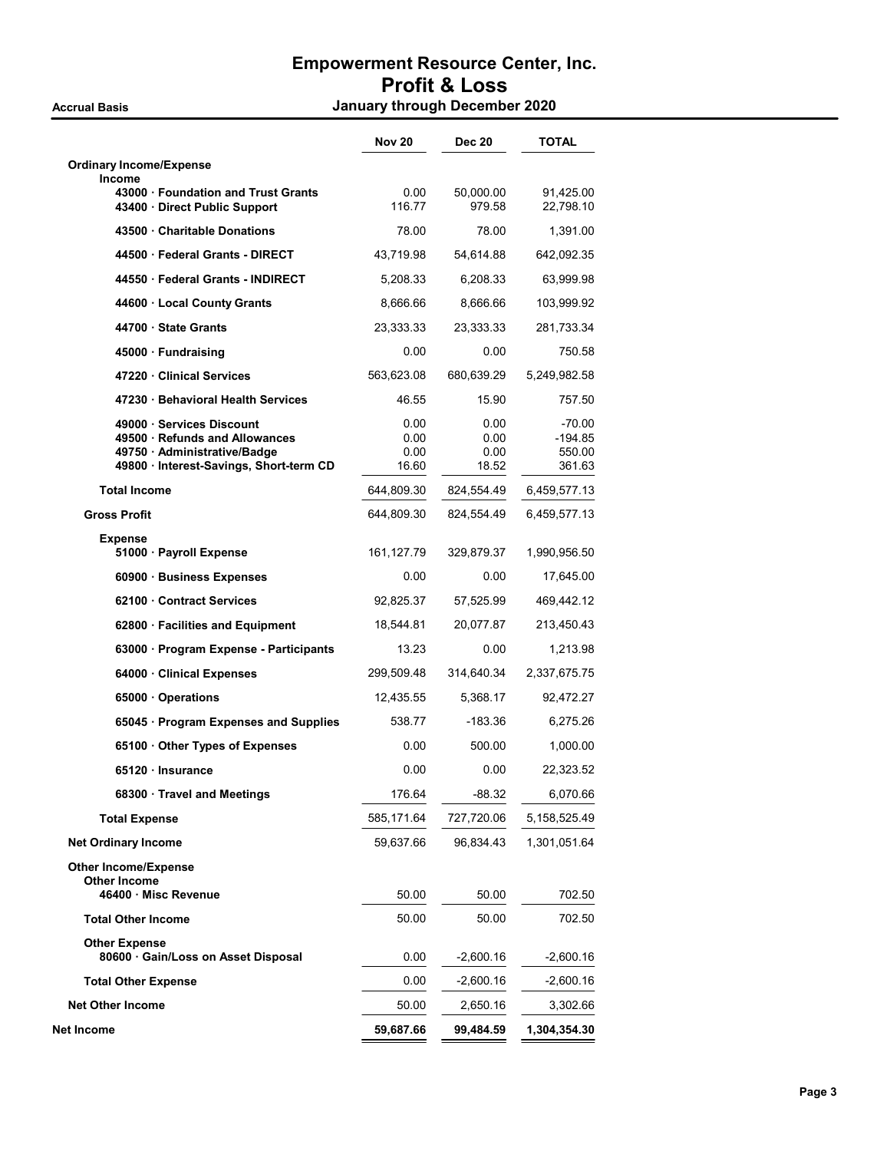|                                                                                                                                      | <b>Nov 20</b>                 | <b>Dec 20</b>                 | <b>TOTAL</b>                          |
|--------------------------------------------------------------------------------------------------------------------------------------|-------------------------------|-------------------------------|---------------------------------------|
| <b>Ordinary Income/Expense</b>                                                                                                       |                               |                               |                                       |
| <b>Income</b><br>43000 Foundation and Trust Grants<br>43400 Direct Public Support                                                    | 0.00<br>116.77                | 50,000.00<br>979.58           | 91,425.00<br>22,798.10                |
| 43500 Charitable Donations                                                                                                           | 78.00                         | 78.00                         | 1,391.00                              |
| 44500 Federal Grants - DIRECT                                                                                                        | 43,719.98                     | 54,614.88                     | 642,092.35                            |
| 44550 Federal Grants - INDIRECT                                                                                                      | 5,208.33                      | 6,208.33                      | 63,999.98                             |
| 44600 · Local County Grants                                                                                                          | 8,666.66                      | 8,666.66                      | 103,999.92                            |
| 44700 State Grants                                                                                                                   | 23,333.33                     | 23,333.33                     | 281,733.34                            |
| 45000 Fundraising                                                                                                                    | 0.00                          | 0.00                          | 750.58                                |
| 47220 Clinical Services                                                                                                              | 563,623.08                    | 680,639.29                    | 5,249,982.58                          |
| 47230 Behavioral Health Services                                                                                                     | 46.55                         | 15.90                         | 757.50                                |
| 49000 Services Discount<br>49500 · Refunds and Allowances<br>49750 - Administrative/Badge<br>49800 · Interest-Savings, Short-term CD | 0.00<br>0.00<br>0.00<br>16.60 | 0.00<br>0.00<br>0.00<br>18.52 | -70.00<br>-194.85<br>550.00<br>361.63 |
| <b>Total Income</b>                                                                                                                  | 644,809.30                    | 824,554.49                    | 6,459,577.13                          |
| <b>Gross Profit</b>                                                                                                                  | 644,809.30                    | 824,554.49                    | 6,459,577.13                          |
| <b>Expense</b><br>51000 · Payroll Expense                                                                                            | 161,127.79                    | 329,879.37                    | 1,990,956.50                          |
| 60900 · Business Expenses                                                                                                            | 0.00                          | 0.00                          | 17,645.00                             |
| 62100 Contract Services                                                                                                              | 92,825.37                     | 57,525.99                     | 469,442.12                            |
| 62800 · Facilities and Equipment                                                                                                     | 18,544.81                     | 20,077.87                     | 213,450.43                            |
| 63000 · Program Expense - Participants                                                                                               | 13.23                         | 0.00                          | 1,213.98                              |
| 64000 · Clinical Expenses                                                                                                            | 299,509.48                    | 314,640.34                    | 2,337,675.75                          |
| 65000 Operations                                                                                                                     | 12,435.55                     | 5,368.17                      | 92,472.27                             |
| 65045 Program Expenses and Supplies                                                                                                  | 538.77                        | -183.36                       | 6,275.26                              |
| 65100 Other Types of Expenses                                                                                                        | 0.00                          | 500.00                        | 1,000.00                              |
| 65120 Insurance                                                                                                                      | 0.00                          | 0.00                          | 22.323.52                             |
| 68300 Travel and Meetings                                                                                                            | 176.64                        | $-88.32$                      | 6,070.66                              |
| <b>Total Expense</b>                                                                                                                 | 585,171.64                    | 727,720.06                    | 5, 158, 525.49                        |
| <b>Net Ordinary Income</b>                                                                                                           | 59,637.66                     | 96,834.43                     | 1,301,051.64                          |
| <b>Other Income/Expense</b><br><b>Other Income</b><br>46400 · Misc Revenue                                                           | 50.00                         | 50.00                         | 702.50                                |
| <b>Total Other Income</b>                                                                                                            | 50.00                         | 50.00                         | 702.50                                |
| <b>Other Expense</b><br>80600 · Gain/Loss on Asset Disposal                                                                          | 0.00                          | $-2,600.16$                   | $-2,600.16$                           |
| <b>Total Other Expense</b>                                                                                                           | 0.00                          | -2,600.16                     | $-2,600.16$                           |
| <b>Net Other Income</b>                                                                                                              | 50.00                         | 2,650.16                      | 3,302.66                              |
| Net Income                                                                                                                           | 59,687.66                     | 99,484.59                     | 1,304,354.30                          |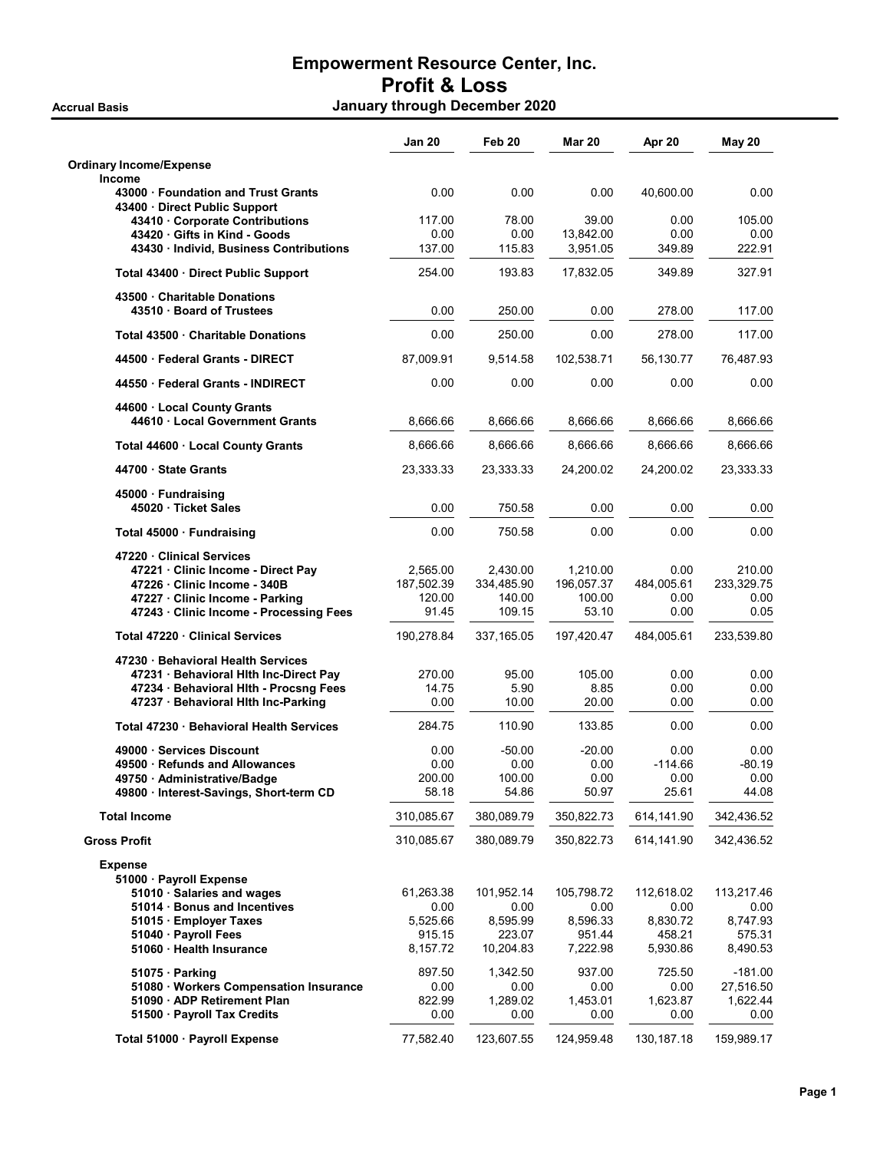Accrual Basis **Accrual Basis January through December 2020** 

|                                                                                                                                                                                       | <b>Jan 20</b>                                       | Feb 20                                                | <b>Mar 20</b>                                        | Apr 20                                               | <b>May 20</b>                                        |
|---------------------------------------------------------------------------------------------------------------------------------------------------------------------------------------|-----------------------------------------------------|-------------------------------------------------------|------------------------------------------------------|------------------------------------------------------|------------------------------------------------------|
| <b>Ordinary Income/Expense</b><br><b>Income</b>                                                                                                                                       |                                                     |                                                       |                                                      |                                                      |                                                      |
| 43000 · Foundation and Trust Grants<br>43400 Direct Public Support                                                                                                                    | 0.00                                                | 0.00                                                  | 0.00                                                 | 40,600.00                                            | 0.00                                                 |
| 43410 Corporate Contributions<br>43420 Gifts in Kind - Goods<br>43430 · Individ, Business Contributions                                                                               | 117.00<br>0.00<br>137.00                            | 78.00<br>0.00<br>115.83                               | 39.00<br>13,842.00<br>3,951.05                       | 0.00<br>0.00<br>349.89                               | 105.00<br>0.00<br>222.91                             |
| Total 43400 · Direct Public Support                                                                                                                                                   | 254.00                                              | 193.83                                                | 17,832.05                                            | 349.89                                               | 327.91                                               |
| 43500 Charitable Donations<br>43510 Board of Trustees                                                                                                                                 | 0.00                                                | 250.00                                                | 0.00                                                 | 278.00                                               | 117.00                                               |
| Total 43500 Charitable Donations                                                                                                                                                      | 0.00                                                | 250.00                                                | 0.00                                                 | 278.00                                               | 117.00                                               |
| 44500 Federal Grants - DIRECT                                                                                                                                                         | 87,009.91                                           | 9,514.58                                              | 102,538.71                                           | 56,130.77                                            | 76,487.93                                            |
| 44550 Federal Grants - INDIRECT                                                                                                                                                       | 0.00                                                | 0.00                                                  | 0.00                                                 | 0.00                                                 | 0.00                                                 |
| 44600 · Local County Grants<br>44610 Local Government Grants                                                                                                                          | 8,666.66                                            | 8,666.66                                              | 8,666.66                                             | 8,666.66                                             | 8,666.66                                             |
| Total 44600 · Local County Grants                                                                                                                                                     | 8,666.66                                            | 8,666.66                                              | 8,666.66                                             | 8.666.66                                             | 8.666.66                                             |
| 44700 State Grants                                                                                                                                                                    | 23,333.33                                           | 23,333.33                                             | 24,200.02                                            | 24,200.02                                            | 23,333.33                                            |
| 45000 Fundraising<br>45020 · Ticket Sales                                                                                                                                             | 0.00                                                | 750.58                                                | 0.00                                                 | 0.00                                                 | 0.00                                                 |
| Total 45000 · Fundraising                                                                                                                                                             | 0.00                                                | 750.58                                                | 0.00                                                 | 0.00                                                 | 0.00                                                 |
| 47220 Clinical Services<br>47221 Clinic Income - Direct Pay<br>47226 Clinic Income - 340B<br>47227 · Clinic Income - Parking<br>47243 Clinic Income - Processing Fees                 | 2,565.00<br>187,502.39<br>120.00<br>91.45           | 2,430.00<br>334,485.90<br>140.00<br>109.15            | 1,210.00<br>196,057.37<br>100.00<br>53.10            | 0.00<br>484,005.61<br>0.00<br>0.00                   | 210.00<br>233,329.75<br>0.00<br>0.05                 |
| Total 47220 Clinical Services                                                                                                                                                         | 190,278.84                                          | 337,165.05                                            | 197,420.47                                           | 484,005.61                                           | 233,539.80                                           |
| 47230 Behavioral Health Services<br>47231 · Behavioral Hith Inc-Direct Pay<br>47234 Behavioral Hith - Procsng Fees<br>47237 · Behavioral Hith Inc-Parking                             | 270.00<br>14.75<br>0.00                             | 95.00<br>5.90<br>10.00                                | 105.00<br>8.85<br>20.00                              | 0.00<br>0.00<br>0.00                                 | 0.00<br>0.00<br>0.00                                 |
| Total 47230 · Behavioral Health Services                                                                                                                                              | 284.75                                              | 110.90                                                | 133.85                                               | 0.00                                                 | 0.00                                                 |
| 49000 Services Discount<br>49500 · Refunds and Allowances<br>49750 · Administrative/Badge<br>49800 · Interest-Savings, Short-term CD                                                  | 0.00<br>0.00<br>200.00<br>58.18                     | $-50.00$<br>0.00<br>100.00<br>54.86                   | $-20.00$<br>0.00<br>0.00<br>50.97                    | 0.00<br>$-114.66$<br>0.00<br>25.61                   | 0.00<br>$-80.19$<br>0.00<br>44.08                    |
| <b>Total Income</b>                                                                                                                                                                   | 310,085.67                                          | 380,089.79                                            | 350,822.73                                           | 614,141.90                                           | 342,436.52                                           |
| <b>Gross Profit</b>                                                                                                                                                                   | 310,085.67                                          | 380,089.79                                            | 350,822.73                                           | 614,141.90                                           | 342,436.52                                           |
| <b>Expense</b><br>51000 · Payroll Expense<br>51010 · Salaries and wages<br>51014 · Bonus and Incentives<br>51015 · Employer Taxes<br>51040 · Payroll Fees<br>51060 · Health Insurance | 61,263.38<br>0.00<br>5,525.66<br>915.15<br>8,157.72 | 101,952.14<br>0.00<br>8,595.99<br>223.07<br>10,204.83 | 105,798.72<br>0.00<br>8,596.33<br>951.44<br>7,222.98 | 112,618.02<br>0.00<br>8,830.72<br>458.21<br>5,930.86 | 113,217.46<br>0.00<br>8,747.93<br>575.31<br>8,490.53 |
| $51075 \cdot$ Parking<br>51080 · Workers Compensation Insurance<br>51090 · ADP Retirement Plan<br>51500 · Payroll Tax Credits                                                         | 897.50<br>0.00<br>822.99<br>0.00                    | 1,342.50<br>0.00<br>1,289.02<br>0.00                  | 937.00<br>0.00<br>1,453.01<br>0.00                   | 725.50<br>0.00<br>1,623.87<br>0.00                   | $-181.00$<br>27,516.50<br>1,622.44<br>0.00           |
| Total 51000 · Payroll Expense                                                                                                                                                         | 77,582.40                                           | 123,607.55                                            | 124,959.48                                           | 130, 187. 18                                         | 159,989.17                                           |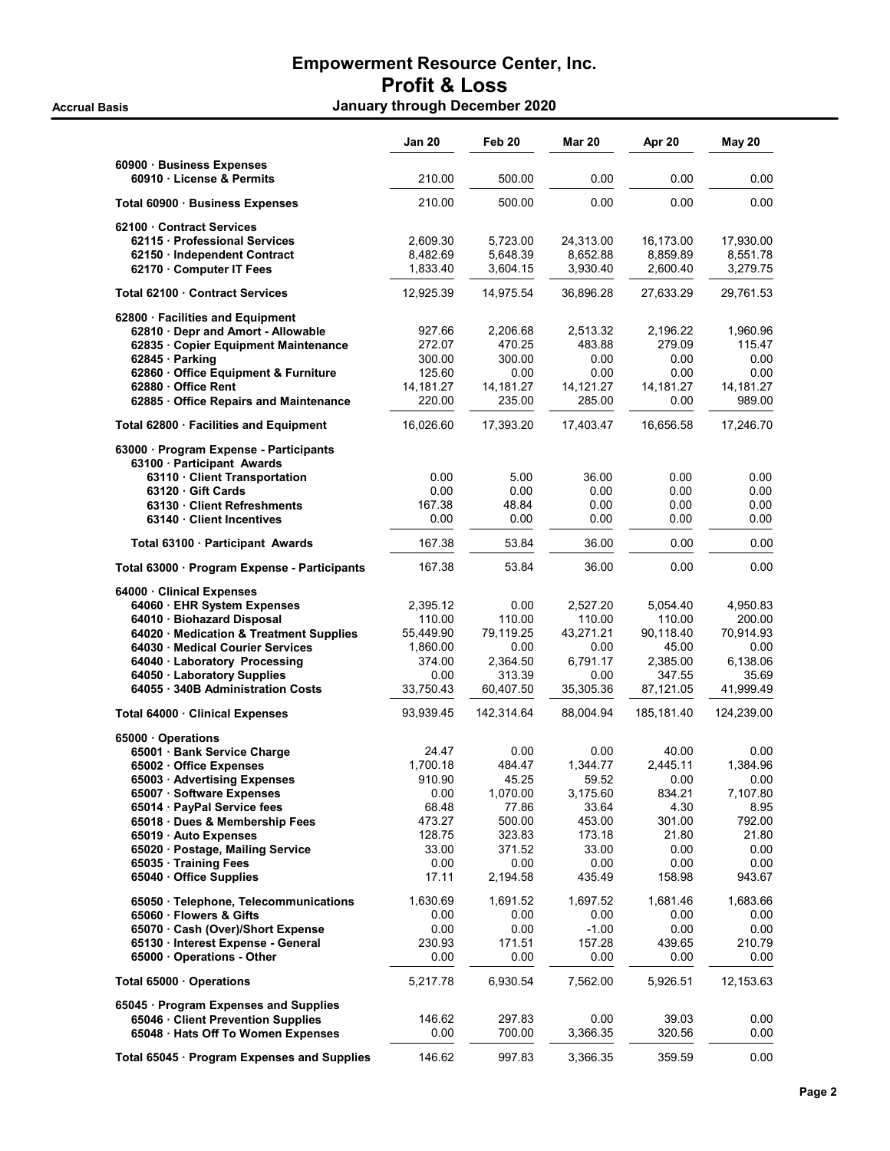|                                                                                                                                                                                                                                                                                                                   | <b>Jan 20</b>                                                                              | Feb 20                                                                                         | <b>Mar 20</b>                                                                                 | Apr 20                                                                                    | <b>May 20</b>                                                                             |
|-------------------------------------------------------------------------------------------------------------------------------------------------------------------------------------------------------------------------------------------------------------------------------------------------------------------|--------------------------------------------------------------------------------------------|------------------------------------------------------------------------------------------------|-----------------------------------------------------------------------------------------------|-------------------------------------------------------------------------------------------|-------------------------------------------------------------------------------------------|
| 60900 · Business Expenses<br>60910 License & Permits                                                                                                                                                                                                                                                              | 210.00                                                                                     | 500.00                                                                                         | 0.00                                                                                          | 0.00                                                                                      | 0.00                                                                                      |
| Total 60900 · Business Expenses                                                                                                                                                                                                                                                                                   | 210.00                                                                                     | 500.00                                                                                         | 0.00                                                                                          | 0.00                                                                                      | 0.00                                                                                      |
| 62100 Contract Services<br>62115 Professional Services<br>62150 · Independent Contract<br>62170 Computer IT Fees                                                                                                                                                                                                  | 2,609.30<br>8,482.69<br>1,833.40                                                           | 5,723.00<br>5,648.39<br>3,604.15                                                               | 24,313.00<br>8,652.88<br>3,930.40                                                             | 16,173.00<br>8,859.89<br>2,600.40                                                         | 17,930.00<br>8,551.78<br>3,279.75                                                         |
| Total 62100 · Contract Services                                                                                                                                                                                                                                                                                   | 12,925.39                                                                                  | 14.975.54                                                                                      | 36,896.28                                                                                     | 27,633.29                                                                                 | 29,761.53                                                                                 |
| 62800 · Facilities and Equipment<br>62810 Depr and Amort - Allowable<br>62835 Copier Equipment Maintenance<br>62845 · Parking<br>62860 · Office Equipment & Furniture<br>62880 Office Rent<br>62885 Office Repairs and Maintenance                                                                                | 927.66<br>272.07<br>300.00<br>125.60<br>14, 181. 27<br>220.00                              | 2,206.68<br>470.25<br>300.00<br>0.00<br>14, 181.27<br>235.00                                   | 2,513.32<br>483.88<br>0.00<br>0.00<br>14, 121. 27<br>285.00                                   | 2,196.22<br>279.09<br>0.00<br>0.00<br>14, 181. 27<br>0.00                                 | 1,960.96<br>115.47<br>0.00<br>0.00<br>14, 181. 27<br>989.00                               |
| Total 62800 · Facilities and Equipment                                                                                                                                                                                                                                                                            | 16,026.60                                                                                  | 17,393.20                                                                                      | 17,403.47                                                                                     | 16,656.58                                                                                 | 17,246.70                                                                                 |
| 63000 · Program Expense - Participants<br>63100 · Participant Awards<br>63110 · Client Transportation<br>63120 Gift Cards<br>63130 Client Refreshments<br>63140 · Client Incentives                                                                                                                               | 0.00<br>0.00<br>167.38<br>0.00                                                             | 5.00<br>0.00<br>48.84<br>0.00                                                                  | 36.00<br>0.00<br>0.00<br>0.00                                                                 | 0.00<br>0.00<br>0.00<br>0.00                                                              | 0.00<br>0.00<br>0.00<br>0.00                                                              |
| Total 63100 · Participant Awards                                                                                                                                                                                                                                                                                  | 167.38                                                                                     | 53.84                                                                                          | 36.00                                                                                         | 0.00                                                                                      | 0.00                                                                                      |
| Total 63000 · Program Expense - Participants                                                                                                                                                                                                                                                                      | 167.38                                                                                     | 53.84                                                                                          | 36.00                                                                                         | 0.00                                                                                      | 0.00                                                                                      |
| 64000 Clinical Expenses<br>64060 · EHR System Expenses<br>64010 · Biohazard Disposal<br>64020 · Medication & Treatment Supplies<br>64030 · Medical Courier Services<br>64040 Laboratory Processing<br>64050 Laboratory Supplies<br>64055 · 340B Administration Costs<br>Total 64000 · Clinical Expenses           | 2,395.12<br>110.00<br>55,449.90<br>1,860.00<br>374.00<br>0.00<br>33,750.43<br>93,939.45    | 0.00<br>110.00<br>79,119.25<br>0.00<br>2,364.50<br>313.39<br>60,407.50<br>142,314.64           | 2,527.20<br>110.00<br>43,271.21<br>0.00<br>6,791.17<br>0.00<br>35,305.36<br>88,004.94         | 5,054.40<br>110.00<br>90,118.40<br>45.00<br>2,385.00<br>347.55<br>87,121.05<br>185,181.40 | 4,950.83<br>200.00<br>70,914.93<br>0.00<br>6,138.06<br>35.69<br>41,999.49<br>124,239.00   |
| 65000 · Operations<br>65001 · Bank Service Charge<br>65002 Office Expenses<br>65003 · Advertising Expenses<br>65007 · Software Expenses<br>65014 · PayPal Service fees<br>65018 Dues & Membership Fees<br>65019 Auto Expenses<br>65020 · Postage, Mailing Service<br>65035 Training Fees<br>65040 Office Supplies | 24.47<br>1,700.18<br>910.90<br>0.00<br>68.48<br>473.27<br>128.75<br>33.00<br>0.00<br>17.11 | 0.00<br>484.47<br>45.25<br>1,070.00<br>77.86<br>500.00<br>323.83<br>371.52<br>0.00<br>2,194.58 | 0.00<br>1,344.77<br>59.52<br>3,175.60<br>33.64<br>453.00<br>173.18<br>33.00<br>0.00<br>435.49 | 40.00<br>2,445.11<br>0.00<br>834.21<br>4.30<br>301.00<br>21.80<br>0.00<br>0.00<br>158.98  | 0.00<br>1,384.96<br>0.00<br>7,107.80<br>8.95<br>792.00<br>21.80<br>0.00<br>0.00<br>943.67 |
| 65050 · Telephone, Telecommunications<br>65060 · Flowers & Gifts<br>65070 · Cash (Over)/Short Expense<br>65130 · Interest Expense - General<br>65000 Operations - Other                                                                                                                                           | 1,630.69<br>0.00<br>0.00<br>230.93<br>0.00                                                 | 1,691.52<br>0.00<br>0.00<br>171.51<br>0.00                                                     | 1,697.52<br>0.00<br>$-1.00$<br>157.28<br>0.00                                                 | 1,681.46<br>0.00<br>0.00<br>439.65<br>0.00                                                | 1,683.66<br>0.00<br>0.00<br>210.79<br>0.00                                                |
| Total 65000 Operations                                                                                                                                                                                                                                                                                            | 5,217.78                                                                                   | 6,930.54                                                                                       | 7,562.00                                                                                      | 5,926.51                                                                                  | 12, 153.63                                                                                |
| 65045 · Program Expenses and Supplies<br>65046 Client Prevention Supplies<br>65048 · Hats Off To Women Expenses                                                                                                                                                                                                   | 146.62<br>0.00                                                                             | 297.83<br>700.00                                                                               | 0.00<br>3,366.35                                                                              | 39.03<br>320.56                                                                           | 0.00<br>0.00                                                                              |
| Total 65045 · Program Expenses and Supplies                                                                                                                                                                                                                                                                       | 146.62                                                                                     | 997.83                                                                                         | 3,366.35                                                                                      | 359.59                                                                                    | 0.00                                                                                      |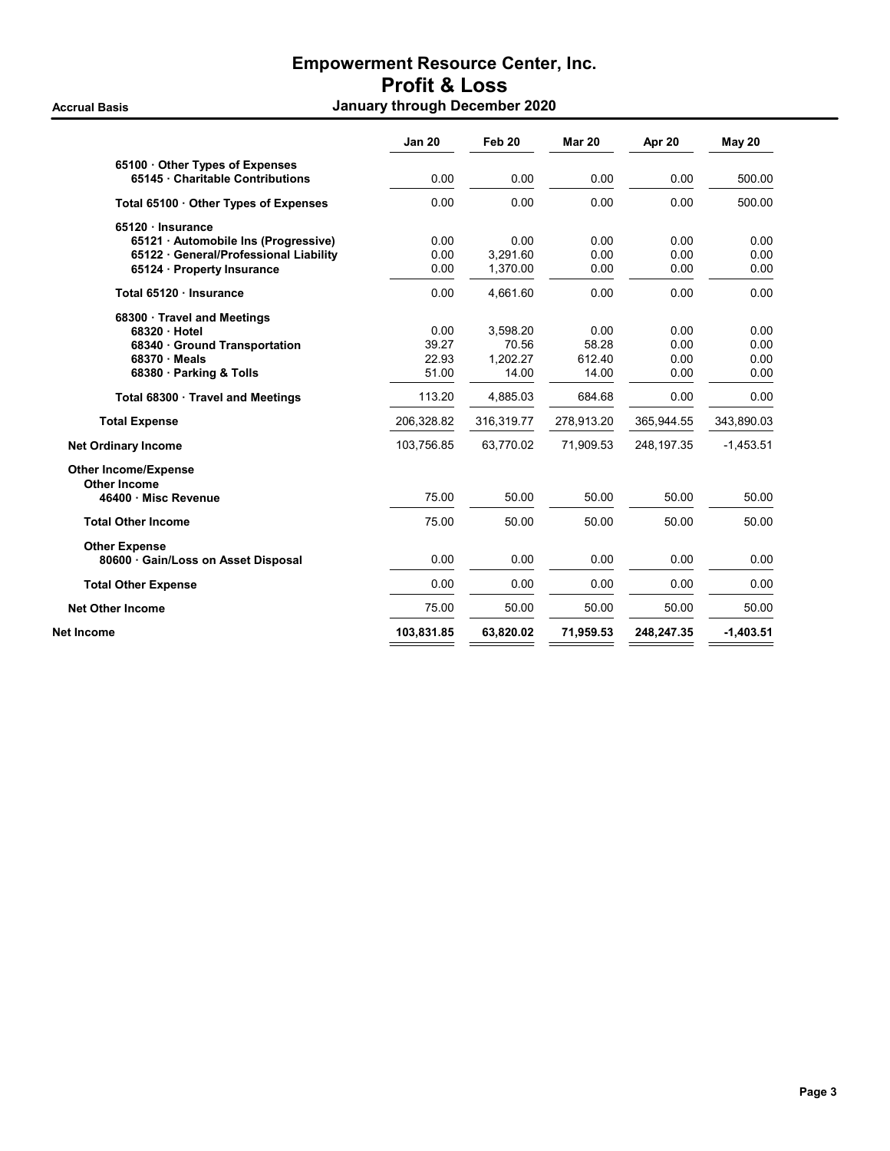|                                        | <b>Jan 20</b> | Feb 20     | <b>Mar 20</b> | Apr 20      | <b>May 20</b> |
|----------------------------------------|---------------|------------|---------------|-------------|---------------|
| 65100 Other Types of Expenses          |               |            |               |             |               |
| 65145 Charitable Contributions         | 0.00          | 0.00       | 0.00          | 0.00        | 500.00        |
| Total 65100 Other Types of Expenses    | 0.00          | 0.00       | 0.00          | 0.00        | 500.00        |
| 65120 · Insurance                      |               |            |               |             |               |
| 65121 Automobile Ins (Progressive)     | 0.00          | 0.00       | 0.00          | 0.00        | 0.00          |
| 65122 · General/Professional Liability | 0.00          | 3.291.60   | 0.00          | 0.00        | 0.00          |
| 65124 Property Insurance               | 0.00          | 1.370.00   | 0.00          | 0.00        | 0.00          |
| Total 65120 · Insurance                | 0.00          | 4.661.60   | 0.00          | 0.00        | 0.00          |
| 68300 · Travel and Meetings            |               |            |               |             |               |
| 68320 Hotel                            | 0.00          | 3.598.20   | 0.00          | 0.00        | 0.00          |
| 68340 Ground Transportation            | 39.27         | 70.56      | 58.28         | 0.00        | 0.00          |
| $68370 \cdot Meals$                    | 22.93         | 1.202.27   | 612.40        | 0.00        | 0.00          |
| 68380 · Parking & Tolls                | 51.00         | 14.00      | 14.00         | 0.00        | 0.00          |
| Total 68300 · Travel and Meetings      | 113.20        | 4,885.03   | 684.68        | 0.00        | 0.00          |
| <b>Total Expense</b>                   | 206,328.82    | 316,319.77 | 278,913.20    | 365,944.55  | 343,890.03    |
| <b>Net Ordinary Income</b>             | 103,756.85    | 63.770.02  | 71,909.53     | 248, 197.35 | $-1,453.51$   |
| <b>Other Income/Expense</b>            |               |            |               |             |               |
| <b>Other Income</b>                    |               |            |               |             |               |
| 46400 Misc Revenue                     | 75.00         | 50.00      | 50.00         | 50.00       | 50.00         |
| <b>Total Other Income</b>              | 75.00         | 50.00      | 50.00         | 50.00       | 50.00         |
| <b>Other Expense</b>                   |               |            |               |             |               |
| 80600 Gain/Loss on Asset Disposal      | 0.00          | 0.00       | 0.00          | 0.00        | 0.00          |
| <b>Total Other Expense</b>             | 0.00          | 0.00       | 0.00          | 0.00        | 0.00          |
| <b>Net Other Income</b>                | 75.00         | 50.00      | 50.00         | 50.00       | 50.00         |
| Net Income                             | 103,831.85    | 63,820.02  | 71,959.53     | 248,247.35  | $-1,403.51$   |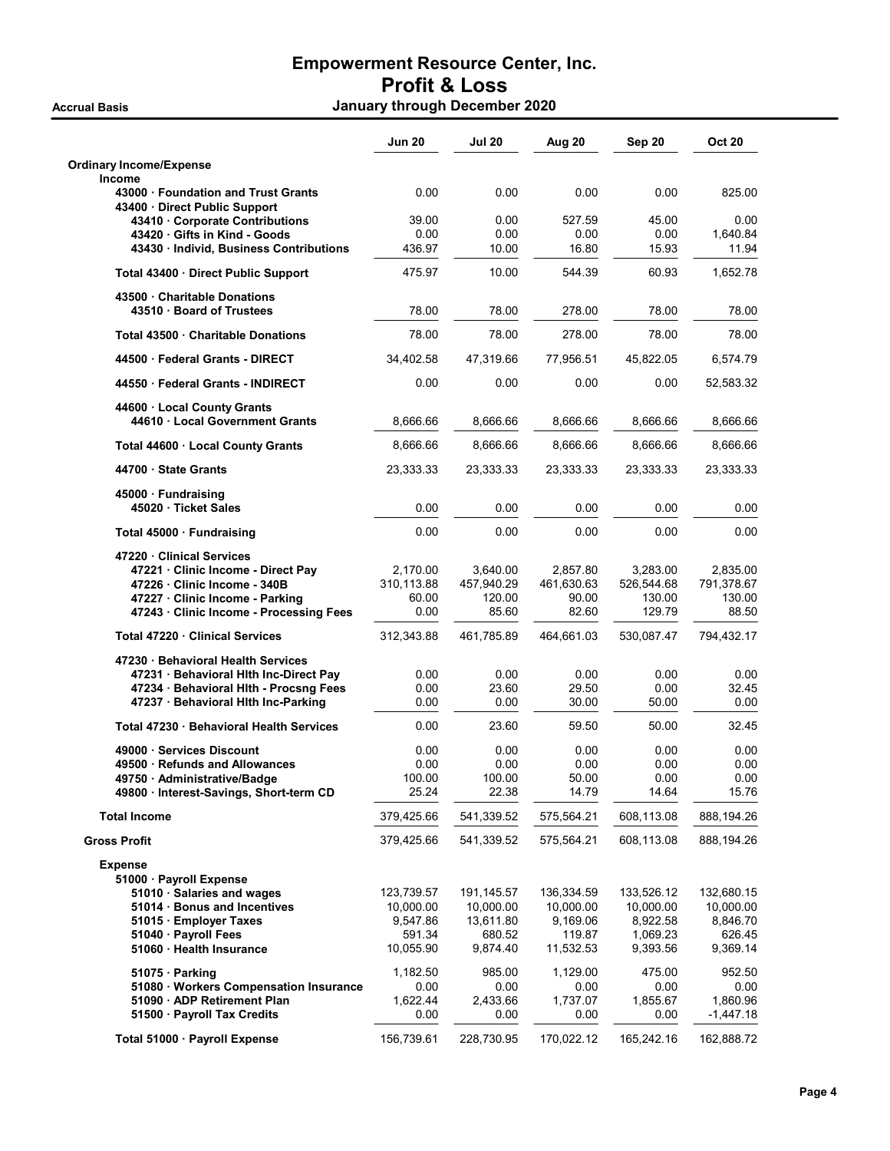Accrual Basis **Accrual Basis January through December 2020** 

|                                                                                                                                                                                       | <b>Jun 20</b>                                              | <b>Jul 20</b>                                              | Aug 20                                                     | <b>Sep 20</b>                                               | <b>Oct 20</b>                                             |
|---------------------------------------------------------------------------------------------------------------------------------------------------------------------------------------|------------------------------------------------------------|------------------------------------------------------------|------------------------------------------------------------|-------------------------------------------------------------|-----------------------------------------------------------|
| <b>Ordinary Income/Expense</b><br><b>Income</b>                                                                                                                                       |                                                            |                                                            |                                                            |                                                             |                                                           |
| 43000 Foundation and Trust Grants<br>43400 Direct Public Support                                                                                                                      | 0.00                                                       | 0.00                                                       | 0.00                                                       | 0.00                                                        | 825.00                                                    |
| 43410 Corporate Contributions<br>43420 Gifts in Kind - Goods<br>43430 · Individ, Business Contributions                                                                               | 39.00<br>0.00<br>436.97                                    | 0.00<br>0.00<br>10.00                                      | 527.59<br>0.00<br>16.80                                    | 45.00<br>0.00<br>15.93                                      | 0.00<br>1,640.84<br>11.94                                 |
| Total 43400 · Direct Public Support                                                                                                                                                   | 475.97                                                     | 10.00                                                      | 544.39                                                     | 60.93                                                       | 1,652.78                                                  |
| 43500 Charitable Donations<br>43510 Board of Trustees                                                                                                                                 | 78.00                                                      | 78.00                                                      | 278.00                                                     | 78.00                                                       | 78.00                                                     |
| Total 43500 Charitable Donations                                                                                                                                                      | 78.00                                                      | 78.00                                                      | 278.00                                                     | 78.00                                                       | 78.00                                                     |
| 44500 Federal Grants - DIRECT                                                                                                                                                         | 34,402.58                                                  | 47,319.66                                                  | 77,956.51                                                  | 45,822.05                                                   | 6,574.79                                                  |
| 44550 · Federal Grants - INDIRECT                                                                                                                                                     | 0.00                                                       | 0.00                                                       | 0.00                                                       | 0.00                                                        | 52,583.32                                                 |
| 44600 · Local County Grants<br>44610 Local Government Grants                                                                                                                          | 8,666.66                                                   | 8,666.66                                                   | 8,666.66                                                   | 8,666.66                                                    | 8,666.66                                                  |
| Total 44600 · Local County Grants                                                                                                                                                     | 8,666.66                                                   | 8,666.66                                                   | 8,666.66                                                   | 8.666.66                                                    | 8,666.66                                                  |
| 44700 State Grants                                                                                                                                                                    | 23,333.33                                                  | 23,333.33                                                  | 23,333.33                                                  | 23,333.33                                                   | 23,333.33                                                 |
| 45000 · Fundraising<br>45020 Ticket Sales                                                                                                                                             | 0.00                                                       | 0.00                                                       | 0.00                                                       | 0.00                                                        | 0.00                                                      |
| Total 45000 · Fundraising                                                                                                                                                             | 0.00                                                       | 0.00                                                       | 0.00                                                       | 0.00                                                        | 0.00                                                      |
| 47220 Clinical Services<br>47221 Clinic Income - Direct Pay<br>47226 Clinic Income - 340B<br>47227 · Clinic Income - Parking<br>47243 · Clinic Income - Processing Fees               | 2,170.00<br>310,113.88<br>60.00<br>0.00                    | 3,640.00<br>457,940.29<br>120.00<br>85.60                  | 2,857.80<br>461,630.63<br>90.00<br>82.60                   | 3,283.00<br>526,544.68<br>130.00<br>129.79                  | 2,835.00<br>791,378.67<br>130.00<br>88.50                 |
| Total 47220 · Clinical Services                                                                                                                                                       | 312,343.88                                                 | 461,785.89                                                 | 464,661.03                                                 | 530,087.47                                                  | 794,432.17                                                |
| 47230 Behavioral Health Services<br>47231 · Behavioral Hith Inc-Direct Pay<br>47234 · Behavioral Hith - Procsng Fees<br>47237 · Behavioral Hith Inc-Parking                           | 0.00<br>0.00<br>0.00                                       | 0.00<br>23.60<br>0.00                                      | 0.00<br>29.50<br>30.00                                     | 0.00<br>0.00<br>50.00                                       | 0.00<br>32.45<br>0.00                                     |
| Total 47230 Behavioral Health Services                                                                                                                                                | 0.00                                                       | 23.60                                                      | 59.50                                                      | 50.00                                                       | 32.45                                                     |
| 49000 Services Discount<br>49500 · Refunds and Allowances<br>49750 · Administrative/Badge<br>49800 · Interest-Savings, Short-term CD                                                  | 0.00<br>0.00<br>100.00<br>25.24                            | 0.00<br>0.00<br>100.00<br>22.38                            | 0.00<br>0.00<br>50.00<br>14.79                             | 0.00<br>0.00<br>0.00<br>14.64                               | 0.00<br>0.00<br>0.00<br>15.76                             |
| <b>Total Income</b>                                                                                                                                                                   | 379,425.66                                                 | 541,339.52                                                 | 575,564.21                                                 | 608,113.08                                                  | 888,194.26                                                |
| <b>Gross Profit</b>                                                                                                                                                                   | 379,425.66                                                 | 541,339.52                                                 | 575,564.21                                                 | 608,113.08                                                  | 888,194.26                                                |
| <b>Expense</b><br>51000 · Payroll Expense<br>51010 · Salaries and wages<br>51014 · Bonus and Incentives<br>51015 · Employer Taxes<br>51040 · Payroll Fees<br>51060 · Health Insurance | 123,739.57<br>10,000.00<br>9,547.86<br>591.34<br>10,055.90 | 191,145.57<br>10,000.00<br>13,611.80<br>680.52<br>9,874.40 | 136,334.59<br>10,000.00<br>9,169.06<br>119.87<br>11,532.53 | 133,526.12<br>10,000.00<br>8,922.58<br>1,069.23<br>9,393.56 | 132,680.15<br>10,000.00<br>8,846.70<br>626.45<br>9,369.14 |
| 51075 · Parking<br>51080 · Workers Compensation Insurance<br>51090 ADP Retirement Plan<br>51500 · Payroll Tax Credits                                                                 | 1,182.50<br>0.00<br>1,622.44<br>0.00                       | 985.00<br>0.00<br>2,433.66<br>0.00                         | 1,129.00<br>0.00<br>1,737.07<br>0.00                       | 475.00<br>0.00<br>1,855.67<br>0.00                          | 952.50<br>0.00<br>1,860.96<br>$-1,447.18$                 |
| Total 51000 · Payroll Expense                                                                                                                                                         | 156,739.61                                                 | 228,730.95                                                 | 170,022.12                                                 | 165,242.16                                                  | 162,888.72                                                |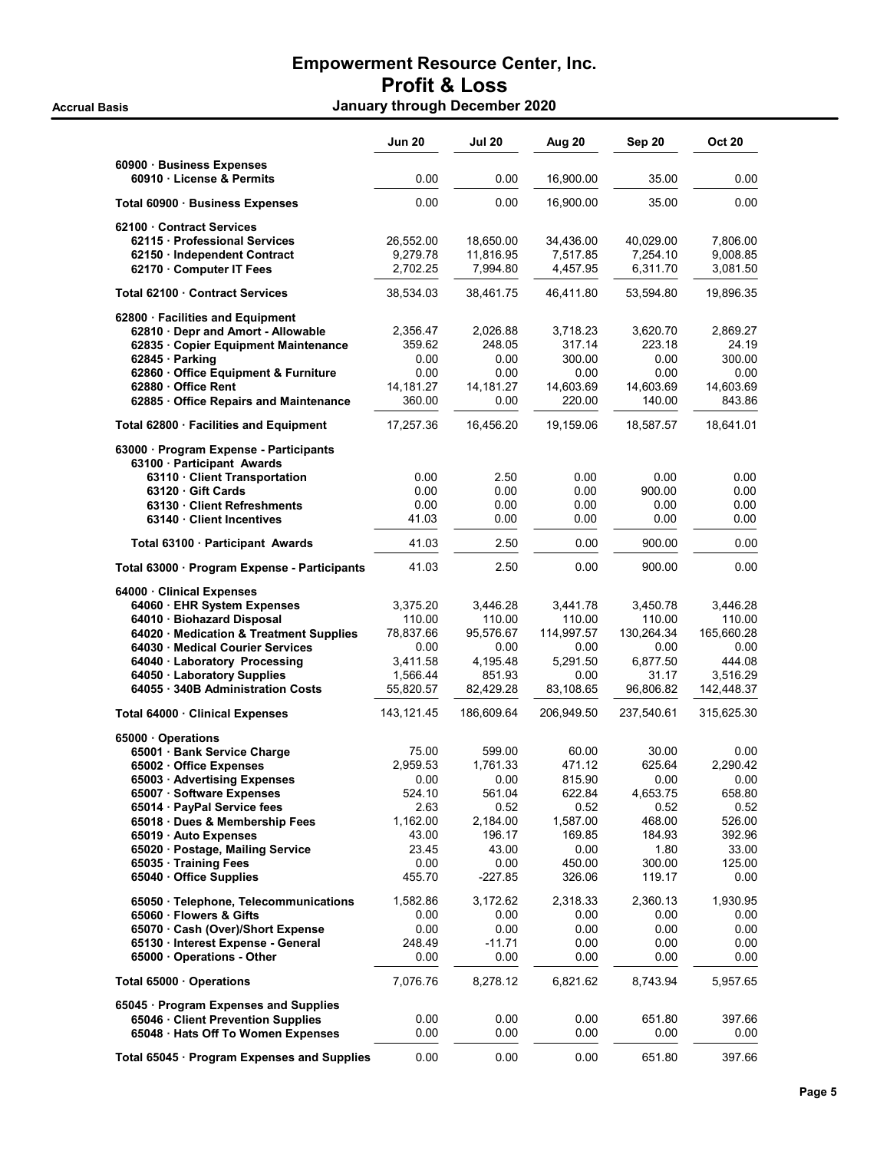|                                                                                                                                                                                                                                                                                                                     | Jun 20                                                                                      | <b>Jul 20</b>                                                                                    | Aug 20                                                                                        | Sep 20                                                                                      | <b>Oct 20</b>                                                                             |
|---------------------------------------------------------------------------------------------------------------------------------------------------------------------------------------------------------------------------------------------------------------------------------------------------------------------|---------------------------------------------------------------------------------------------|--------------------------------------------------------------------------------------------------|-----------------------------------------------------------------------------------------------|---------------------------------------------------------------------------------------------|-------------------------------------------------------------------------------------------|
| 60900 · Business Expenses<br>60910 · License & Permits                                                                                                                                                                                                                                                              | 0.00                                                                                        | 0.00                                                                                             | 16,900.00                                                                                     | 35.00                                                                                       | 0.00                                                                                      |
| Total 60900 · Business Expenses                                                                                                                                                                                                                                                                                     | 0.00                                                                                        | 0.00                                                                                             | 16,900.00                                                                                     | 35.00                                                                                       | 0.00                                                                                      |
| 62100 Contract Services<br>62115 Professional Services<br>62150 · Independent Contract<br>62170 · Computer IT Fees                                                                                                                                                                                                  | 26,552.00<br>9,279.78<br>2,702.25                                                           | 18,650.00<br>11,816.95<br>7,994.80                                                               | 34,436.00<br>7,517.85<br>4,457.95                                                             | 40,029.00<br>7,254.10<br>6,311.70                                                           | 7,806.00<br>9,008.85<br>3,081.50                                                          |
| Total 62100 Contract Services                                                                                                                                                                                                                                                                                       | 38,534.03                                                                                   | 38,461.75                                                                                        | 46,411.80                                                                                     | 53,594.80                                                                                   | 19,896.35                                                                                 |
| 62800 · Facilities and Equipment<br>62810 Depr and Amort - Allowable<br>62835 Copier Equipment Maintenance<br>62845 · Parking<br>62860 · Office Equipment & Furniture<br>62880 Office Rent<br>62885 Office Repairs and Maintenance                                                                                  | 2,356.47<br>359.62<br>0.00<br>0.00<br>14,181.27<br>360.00                                   | 2,026.88<br>248.05<br>0.00<br>0.00<br>14, 181. 27<br>0.00                                        | 3,718.23<br>317.14<br>300.00<br>0.00<br>14,603.69<br>220.00                                   | 3,620.70<br>223.18<br>0.00<br>0.00<br>14,603.69<br>140.00                                   | 2,869.27<br>24.19<br>300.00<br>0.00<br>14,603.69<br>843.86                                |
| Total 62800 · Facilities and Equipment                                                                                                                                                                                                                                                                              | 17,257.36                                                                                   | 16,456.20                                                                                        | 19,159.06                                                                                     | 18,587.57                                                                                   | 18,641.01                                                                                 |
| 63000 · Program Expense - Participants<br>63100 · Participant Awards<br>63110 · Client Transportation<br>63120 Gift Cards<br>63130 Client Refreshments<br>63140 Client Incentives                                                                                                                                   | 0.00<br>0.00<br>0.00<br>41.03                                                               | 2.50<br>0.00<br>0.00<br>0.00                                                                     | 0.00<br>0.00<br>0.00<br>0.00                                                                  | 0.00<br>900.00<br>0.00<br>0.00                                                              | 0.00<br>0.00<br>0.00<br>0.00                                                              |
| Total 63100 · Participant Awards                                                                                                                                                                                                                                                                                    | 41.03                                                                                       | 2.50                                                                                             | 0.00                                                                                          | 900.00                                                                                      | 0.00                                                                                      |
| Total 63000 · Program Expense - Participants                                                                                                                                                                                                                                                                        | 41.03                                                                                       | 2.50                                                                                             | 0.00                                                                                          | 900.00                                                                                      | 0.00                                                                                      |
| 64000 Clinical Expenses<br>64060 · EHR System Expenses<br>64010 · Biohazard Disposal<br>64020 · Medication & Treatment Supplies<br>64030 Medical Courier Services<br>64040 Laboratory Processing<br>64050 Laboratory Supplies<br>64055 · 340B Administration Costs                                                  | 3,375.20<br>110.00<br>78,837.66<br>0.00<br>3,411.58<br>1,566.44<br>55,820.57                | 3,446.28<br>110.00<br>95,576.67<br>0.00<br>4,195.48<br>851.93<br>82,429.28                       | 3,441.78<br>110.00<br>114,997.57<br>0.00<br>5,291.50<br>0.00<br>83,108.65                     | 3,450.78<br>110.00<br>130,264.34<br>0.00<br>6,877.50<br>31.17<br>96,806.82                  | 3,446.28<br>110.00<br>165,660.28<br>0.00<br>444.08<br>3,516.29<br>142,448.37              |
| Total 64000 · Clinical Expenses                                                                                                                                                                                                                                                                                     | 143,121.45                                                                                  | 186,609.64                                                                                       | 206,949.50                                                                                    | 237,540.61                                                                                  | 315,625.30                                                                                |
| 65000 · Operations<br>65001 · Bank Service Charge<br>65002 Office Expenses<br>65003 · Advertising Expenses<br>65007 · Software Expenses<br>65014 · PayPal Service fees<br>65018 Dues & Membership Fees<br>65019 · Auto Expenses<br>65020 · Postage, Mailing Service<br>65035 Training Fees<br>65040 Office Supplies | 75.00<br>2,959.53<br>0.00<br>524.10<br>2.63<br>1,162.00<br>43.00<br>23.45<br>0.00<br>455.70 | 599.00<br>1,761.33<br>0.00<br>561.04<br>0.52<br>2,184.00<br>196.17<br>43.00<br>0.00<br>$-227.85$ | 60.00<br>471.12<br>815.90<br>622.84<br>0.52<br>1,587.00<br>169.85<br>0.00<br>450.00<br>326.06 | 30.00<br>625.64<br>0.00<br>4,653.75<br>0.52<br>468.00<br>184.93<br>1.80<br>300.00<br>119.17 | 0.00<br>2,290.42<br>0.00<br>658.80<br>0.52<br>526.00<br>392.96<br>33.00<br>125.00<br>0.00 |
| 65050 · Telephone, Telecommunications<br>65060 · Flowers & Gifts<br>65070 Cash (Over)/Short Expense<br>65130 · Interest Expense - General<br>65000 · Operations - Other                                                                                                                                             | 1,582.86<br>0.00<br>0.00<br>248.49<br>0.00                                                  | 3,172.62<br>0.00<br>0.00<br>$-11.71$<br>0.00                                                     | 2,318.33<br>0.00<br>0.00<br>0.00<br>0.00                                                      | 2,360.13<br>0.00<br>0.00<br>0.00<br>0.00                                                    | 1,930.95<br>0.00<br>0.00<br>$0.00\,$<br>0.00                                              |
| Total 65000 Operations                                                                                                                                                                                                                                                                                              | 7,076.76                                                                                    | 8,278.12                                                                                         | 6,821.62                                                                                      | 8,743.94                                                                                    | 5,957.65                                                                                  |
| 65045 · Program Expenses and Supplies<br>65046 Client Prevention Supplies<br>65048 · Hats Off To Women Expenses                                                                                                                                                                                                     | 0.00<br>0.00                                                                                | 0.00<br>0.00                                                                                     | 0.00<br>0.00                                                                                  | 651.80<br>0.00                                                                              | 397.66<br>0.00                                                                            |
| Total 65045 · Program Expenses and Supplies                                                                                                                                                                                                                                                                         | 0.00                                                                                        | 0.00                                                                                             | 0.00                                                                                          | 651.80                                                                                      | 397.66                                                                                    |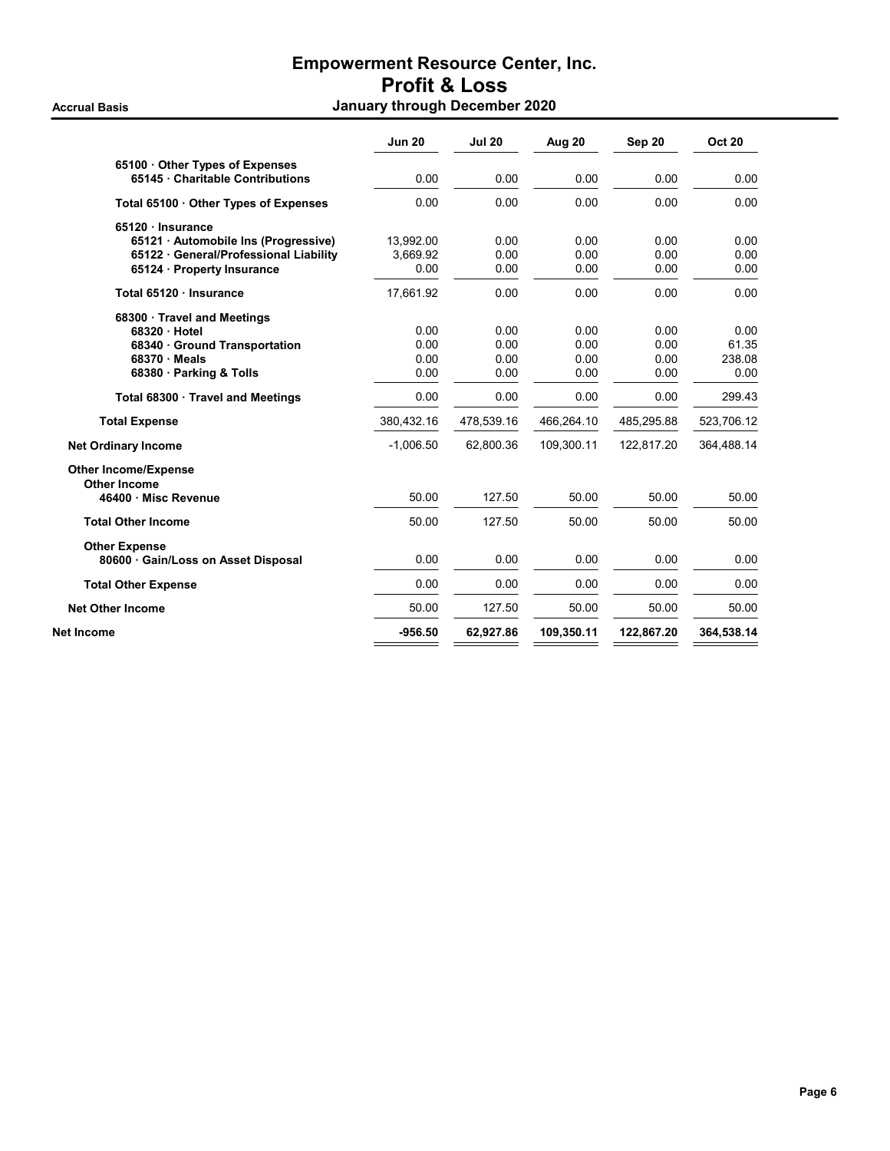| Aug 20<br>Sep 20<br><b>Oct 20</b>                    | <b>Jul 20</b> | <b>Jun 20</b> |                                      |
|------------------------------------------------------|---------------|---------------|--------------------------------------|
|                                                      |               |               | 65100 Other Types of Expenses        |
| 0.00<br>0.00<br>0.00<br>0.00                         |               | 0.00          | 65145 Charitable Contributions       |
| 0.00<br>0.00<br>0.00<br>0.00                         |               | 0.00          | Total 65100 Other Types of Expenses  |
|                                                      |               |               | 65120 · Insurance                    |
| 0.00<br>0.00<br>0.00<br>0.00                         |               | 13.992.00     | 65121 Automobile Ins (Progressive)   |
| 0.00<br>0.00<br>0.00<br>0.00                         |               | 3,669.92      | 65122 General/Professional Liability |
| 0.00<br>0.00<br>0.00<br>0.00                         |               | 0.00          | 65124 · Property Insurance           |
| 0.00<br>0.00<br>0.00<br>0.00                         |               | 17,661.92     | Total 65120 Insurance                |
|                                                      |               |               | 68300 Travel and Meetings            |
| 0.00<br>0.00<br>0.00<br>0.00                         |               | 0.00          | 68320 Hotel                          |
| 0.00<br>0.00<br>0.00<br>61.35                        |               | 0.00          | 68340 Ground Transportation          |
| 0.00<br>0.00<br>238.08<br>0.00                       |               | 0.00          | $68370 \cdot Meals$                  |
| 0.00<br>0.00<br>0.00<br>0.00                         |               | 0.00          | 68380 · Parking & Tolls              |
| 0.00<br>0.00<br>0.00<br>299.43                       |               | 0.00          | Total 68300 Travel and Meetings      |
| 478,539.16<br>523,706.12<br>466,264.10<br>485,295.88 |               | 380,432.16    | <b>Total Expense</b>                 |
| 62,800.36<br>109,300.11<br>122,817.20<br>364,488.14  |               | $-1,006.50$   | <b>Net Ordinary Income</b>           |
|                                                      |               |               | <b>Other Income/Expense</b>          |
|                                                      |               |               | <b>Other Income</b>                  |
| 127.50<br>50.00<br>50.00<br>50.00                    |               | 50.00         | 46400 Misc Revenue                   |
| 127.50<br>50.00<br>50.00<br>50.00                    |               | 50.00         | <b>Total Other Income</b>            |
|                                                      |               |               | <b>Other Expense</b>                 |
| 0.00<br>0.00<br>0.00<br>0.00                         |               | 0.00          | 80600 Gain/Loss on Asset Disposal    |
| 0.00<br>0.00<br>0.00<br>0.00                         |               | 0.00          | <b>Total Other Expense</b>           |
| 50.00<br>50.00<br>50.00<br>127.50                    |               | 50.00         | <b>Net Other Income</b>              |
| 62,927.86<br>109,350.11<br>122,867.20<br>364,538.14  |               | $-956.50$     |                                      |
|                                                      |               |               | Net Income                           |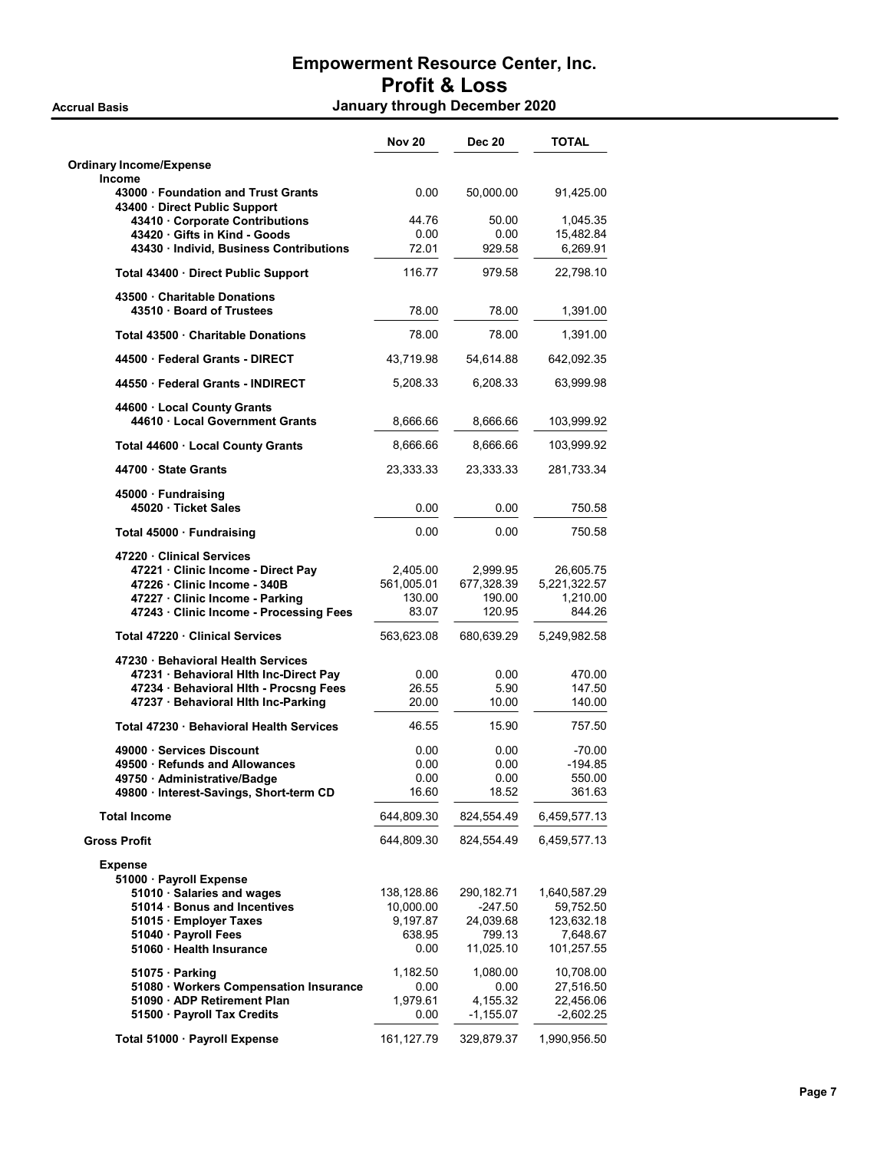Accrual Basis January through December 2020

|                                                                                                                                                                                       | <b>Nov 20</b>                                         | <b>Dec 20</b>                                             | <b>TOTAL</b>                                                      |
|---------------------------------------------------------------------------------------------------------------------------------------------------------------------------------------|-------------------------------------------------------|-----------------------------------------------------------|-------------------------------------------------------------------|
| <b>Ordinary Income/Expense</b>                                                                                                                                                        |                                                       |                                                           |                                                                   |
| <b>Income</b><br>43000 · Foundation and Trust Grants<br>43400 Direct Public Support                                                                                                   | 0.00                                                  | 50,000.00                                                 | 91,425.00                                                         |
| 43410 Corporate Contributions<br>43420 Gifts in Kind - Goods<br>43430 · Individ, Business Contributions                                                                               | 44.76<br>0.00<br>72.01                                | 50.00<br>0.00<br>929.58                                   | 1,045.35<br>15,482.84<br>6,269.91                                 |
| Total 43400 Direct Public Support                                                                                                                                                     | 116.77                                                | 979.58                                                    | 22,798.10                                                         |
| 43500 Charitable Donations<br>43510 Board of Trustees                                                                                                                                 | 78.00                                                 | 78.00                                                     | 1,391.00                                                          |
| Total 43500 Charitable Donations                                                                                                                                                      | 78.00                                                 | 78.00                                                     | 1,391.00                                                          |
| 44500 Federal Grants - DIRECT                                                                                                                                                         | 43,719.98                                             | 54,614.88                                                 | 642,092.35                                                        |
| 44550 Federal Grants - INDIRECT                                                                                                                                                       | 5,208.33                                              | 6,208.33                                                  | 63,999.98                                                         |
| 44600 Local County Grants<br>44610 Local Government Grants                                                                                                                            | 8,666.66                                              | 8,666.66                                                  | 103,999.92                                                        |
| Total 44600 · Local County Grants                                                                                                                                                     | 8,666.66                                              | 8.666.66                                                  | 103,999.92                                                        |
| 44700 State Grants                                                                                                                                                                    | 23,333.33                                             | 23,333.33                                                 | 281,733.34                                                        |
| 45000 · Fundraising<br>45020 · Ticket Sales                                                                                                                                           | 0.00                                                  | 0.00                                                      | 750.58                                                            |
| Total 45000 · Fundraising                                                                                                                                                             | 0.00                                                  | 0.00                                                      | 750.58                                                            |
| 47220 Clinical Services<br>47221 Clinic Income - Direct Pay<br>47226 Clinic Income - 340B<br>47227 · Clinic Income - Parking<br>47243 Clinic Income - Processing Fees                 | 2,405.00<br>561,005.01<br>130.00<br>83.07             | 2,999.95<br>677,328.39<br>190.00<br>120.95                | 26,605.75<br>5,221,322.57<br>1,210.00<br>844.26                   |
| Total 47220 Clinical Services                                                                                                                                                         | 563,623.08                                            | 680,639.29                                                | 5,249,982.58                                                      |
| 47230 · Behavioral Health Services<br>47231 · Behavioral Hith Inc-Direct Pay<br>47234 · Behavioral Hith - Procsng Fees<br>47237 · Behavioral Hith Inc-Parking                         | 0.00<br>26.55<br>20.00                                | 0.00<br>5.90<br>10.00                                     | 470.00<br>147.50<br>140.00                                        |
| Total 47230 · Behavioral Health Services                                                                                                                                              | 46.55                                                 | 15.90                                                     | 757.50                                                            |
| 49000 Services Discount<br>49500 · Refunds and Allowances<br>49750 · Administrative/Badge<br>49800 · Interest-Savings, Short-term CD                                                  | 0.00<br>0.00<br>0.00<br>16.60                         | 0.00<br>0.00<br>0.00<br>18.52                             | -70.00<br>-194.85<br>550.00<br>361.63                             |
| <b>Total Income</b>                                                                                                                                                                   | 644,809.30                                            | 824,554.49                                                | 6,459,577.13                                                      |
| <b>Gross Profit</b>                                                                                                                                                                   | 644,809.30                                            | 824,554.49                                                | 6,459,577.13                                                      |
| <b>Expense</b><br>51000 · Payroll Expense<br>51010 · Salaries and wages<br>51014 · Bonus and Incentives<br>51015 · Employer Taxes<br>51040 · Payroll Fees<br>51060 · Health Insurance | 138,128.86<br>10,000.00<br>9,197.87<br>638.95<br>0.00 | 290,182.71<br>-247.50<br>24,039.68<br>799.13<br>11,025.10 | 1,640,587.29<br>59,752.50<br>123,632.18<br>7,648.67<br>101,257.55 |
| 51075 Parking<br>51080 · Workers Compensation Insurance<br>51090 · ADP Retirement Plan<br>51500 · Payroll Tax Credits                                                                 | 1,182.50<br>0.00<br>1,979.61<br>0.00                  | 1,080.00<br>0.00<br>4,155.32<br>$-1,155.07$               | 10,708.00<br>27,516.50<br>22,456.06<br>$-2,602.25$                |
| Total 51000 · Payroll Expense                                                                                                                                                         | 161,127.79                                            | 329,879.37                                                | 1,990,956.50                                                      |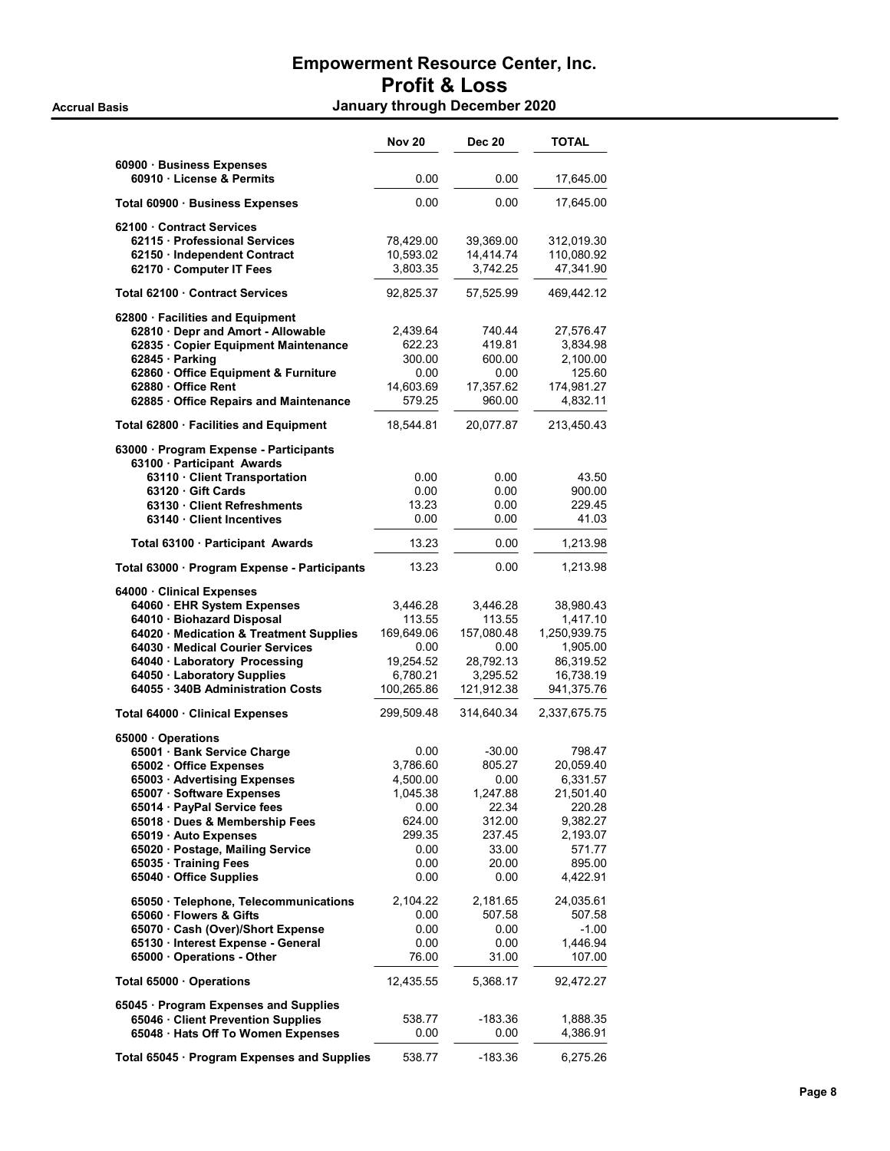|                                                                                                                                                                                                                                                                                                                         | <b>Nov 20</b>                                                                                | <b>Dec 20</b>                                                                                 | <b>TOTAL</b>                                                                                                   |
|-------------------------------------------------------------------------------------------------------------------------------------------------------------------------------------------------------------------------------------------------------------------------------------------------------------------------|----------------------------------------------------------------------------------------------|-----------------------------------------------------------------------------------------------|----------------------------------------------------------------------------------------------------------------|
| 60900 · Business Expenses<br>60910 License & Permits                                                                                                                                                                                                                                                                    | 0.00                                                                                         | 0.00                                                                                          | 17,645.00                                                                                                      |
| Total 60900 · Business Expenses                                                                                                                                                                                                                                                                                         | 0.00                                                                                         | 0.00                                                                                          | 17,645.00                                                                                                      |
| 62100 Contract Services<br>62115 Professional Services<br>62150 · Independent Contract<br>62170 · Computer IT Fees                                                                                                                                                                                                      | 78,429.00<br>10,593.02<br>3,803.35                                                           | 39,369.00<br>14,414.74<br>3,742.25                                                            | 312,019.30<br>110,080.92<br>47,341.90                                                                          |
| Total 62100 Contract Services                                                                                                                                                                                                                                                                                           | 92,825.37                                                                                    | 57,525.99                                                                                     | 469,442.12                                                                                                     |
| 62800 · Facilities and Equipment<br>62810 · Depr and Amort - Allowable<br>62835 Copier Equipment Maintenance<br>62845 · Parking<br>62860 Office Equipment & Furniture<br>62880 Office Rent<br>62885 Office Repairs and Maintenance                                                                                      | 2,439.64<br>622.23<br>300.00<br>0.00<br>14,603.69<br>579.25                                  | 740.44<br>419.81<br>600.00<br>0.00<br>17,357.62<br>960.00                                     | 27,576.47<br>3,834.98<br>2,100.00<br>125.60<br>174,981.27<br>4,832.11                                          |
| Total 62800 · Facilities and Equipment                                                                                                                                                                                                                                                                                  | 18,544.81                                                                                    | 20.077.87                                                                                     | 213,450.43                                                                                                     |
| 63000 · Program Expense - Participants<br>63100 · Participant Awards<br>63110 · Client Transportation<br>63120 Gift Cards<br>63130 Client Refreshments<br>63140 Client Incentives                                                                                                                                       | 0.00<br>0.00<br>13.23<br>0.00                                                                | 0.00<br>0.00<br>0.00<br>0.00                                                                  | 43.50<br>900.00<br>229.45<br>41.03                                                                             |
| Total 63100 · Participant Awards                                                                                                                                                                                                                                                                                        | 13.23                                                                                        | 0.00                                                                                          | 1,213.98                                                                                                       |
| Total 63000 · Program Expense - Participants                                                                                                                                                                                                                                                                            | 13.23                                                                                        | 0.00                                                                                          | 1,213.98                                                                                                       |
| 64000 · Clinical Expenses<br>64060 · EHR System Expenses<br>64010 · Biohazard Disposal<br>64020 · Medication & Treatment Supplies<br>64030 Medical Courier Services<br>64040 Laboratory Processing<br>64050 · Laboratory Supplies<br>64055 · 340B Administration Costs                                                  | 3,446.28<br>113.55<br>169,649.06<br>0.00<br>19,254.52<br>6,780.21<br>100,265.86              | 3,446.28<br>113.55<br>157,080.48<br>0.00<br>28,792.13<br>3,295.52<br>121,912.38               | 38,980.43<br>1,417.10<br>1,250,939.75<br>1,905.00<br>86,319.52<br>16,738.19<br>941,375.76                      |
| Total 64000 · Clinical Expenses                                                                                                                                                                                                                                                                                         | 299,509.48                                                                                   | 314,640.34                                                                                    | 2,337,675.75                                                                                                   |
| 65000 · Operations<br>65001 · Bank Service Charge<br>65002 Office Expenses<br>65003 · Advertising Expenses<br>65007 · Software Expenses<br>65014 · PayPal Service fees<br>65018 · Dues & Membership Fees<br>65019 · Auto Expenses<br>65020 · Postage, Mailing Service<br>65035 · Training Fees<br>65040 Office Supplies | 0.00<br>3.786.60<br>4,500.00<br>1,045.38<br>0.00<br>624.00<br>299.35<br>0.00<br>0.00<br>0.00 | $-30.00$<br>805.27<br>0.00<br>1,247.88<br>22.34<br>312.00<br>237.45<br>33.00<br>20.00<br>0.00 | 798.47<br>20,059.40<br>6,331.57<br>21,501.40<br>220.28<br>9,382.27<br>2,193.07<br>571.77<br>895.00<br>4,422.91 |
| 65050 · Telephone, Telecommunications<br>65060 · Flowers & Gifts<br>65070 · Cash (Over)/Short Expense<br>65130 · Interest Expense - General<br>65000 Operations - Other                                                                                                                                                 | 2,104.22<br>0.00<br>0.00<br>0.00<br>76.00                                                    | 2,181.65<br>507.58<br>0.00<br>0.00<br>31.00                                                   | 24,035.61<br>507.58<br>$-1.00$<br>1,446.94<br>107.00                                                           |
| Total 65000 Operations                                                                                                                                                                                                                                                                                                  | 12,435.55                                                                                    | 5,368.17                                                                                      | 92,472.27                                                                                                      |
| 65045 · Program Expenses and Supplies<br>65046 Client Prevention Supplies<br>65048 · Hats Off To Women Expenses                                                                                                                                                                                                         | 538.77<br>0.00                                                                               | -183.36<br>0.00                                                                               | 1,888.35<br>4,386.91                                                                                           |
| Total 65045 · Program Expenses and Supplies                                                                                                                                                                                                                                                                             | 538.77                                                                                       | $-183.36$                                                                                     | 6,275.26                                                                                                       |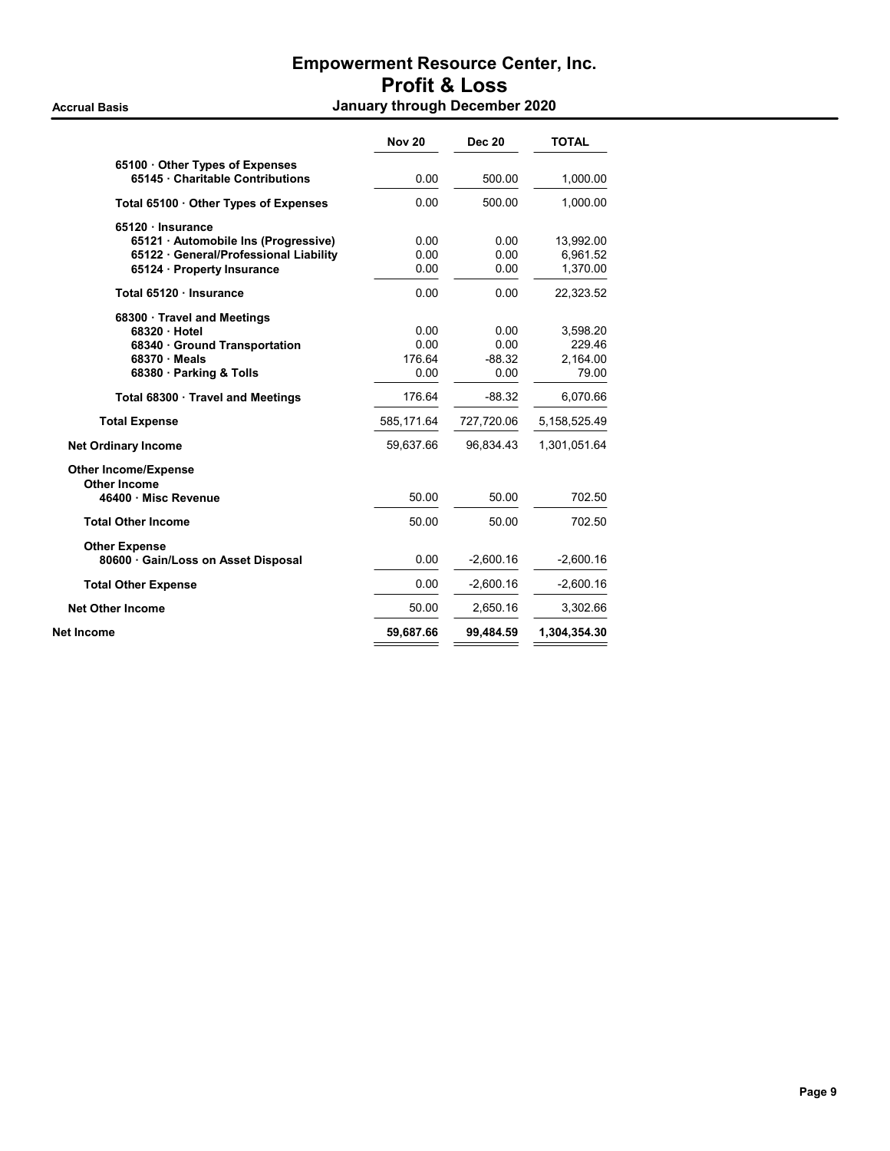|                                      | <b>Nov 20</b> | <b>Dec 20</b> | <b>TOTAL</b>   |
|--------------------------------------|---------------|---------------|----------------|
| 65100 Other Types of Expenses        |               |               |                |
| 65145 Charitable Contributions       | 0.00          | 500.00        | 1,000.00       |
| Total 65100 Other Types of Expenses  | 0.00          | 500.00        | 1,000.00       |
| 65120 Insurance                      |               |               |                |
| 65121 Automobile Ins (Progressive)   | 0.00          | 0.00          | 13,992.00      |
| 65122 General/Professional Liability | 0.00          | 0.00          | 6,961.52       |
| 65124 · Property Insurance           | 0.00          | 0.00          | 1,370.00       |
| Total 65120 · Insurance              | 0.00          | 0.00          | 22,323.52      |
| 68300 · Travel and Meetings          |               |               |                |
| 68320 Hotel                          | 0.00          | 0.00          | 3,598.20       |
| 68340 Ground Transportation          | 0.00          | 0.00          | 229.46         |
| $68370 \cdot Meals$                  | 176.64        | $-88.32$      | 2,164.00       |
| 68380 · Parking & Tolls              | 0.00          | 0.00          | 79.00          |
| Total 68300 Travel and Meetings      | 176.64        | $-88.32$      | 6,070.66       |
| <b>Total Expense</b>                 | 585,171.64    | 727,720.06    | 5, 158, 525.49 |
| <b>Net Ordinary Income</b>           | 59,637.66     | 96,834.43     | 1,301,051.64   |
| <b>Other Income/Expense</b>          |               |               |                |
| <b>Other Income</b>                  |               |               |                |
| 46400 Misc Revenue                   | 50.00         | 50.00         | 702.50         |
| <b>Total Other Income</b>            | 50.00         | 50.00         | 702.50         |
| <b>Other Expense</b>                 |               |               |                |
| 80600 Gain/Loss on Asset Disposal    | 0.00          | $-2,600.16$   | $-2,600.16$    |
| <b>Total Other Expense</b>           | 0.00          | $-2,600.16$   | $-2,600.16$    |
| <b>Net Other Income</b>              | 50.00         | 2,650.16      | 3,302.66       |
| Net Income                           | 59,687.66     | 99,484.59     | 1,304,354.30   |
|                                      |               |               |                |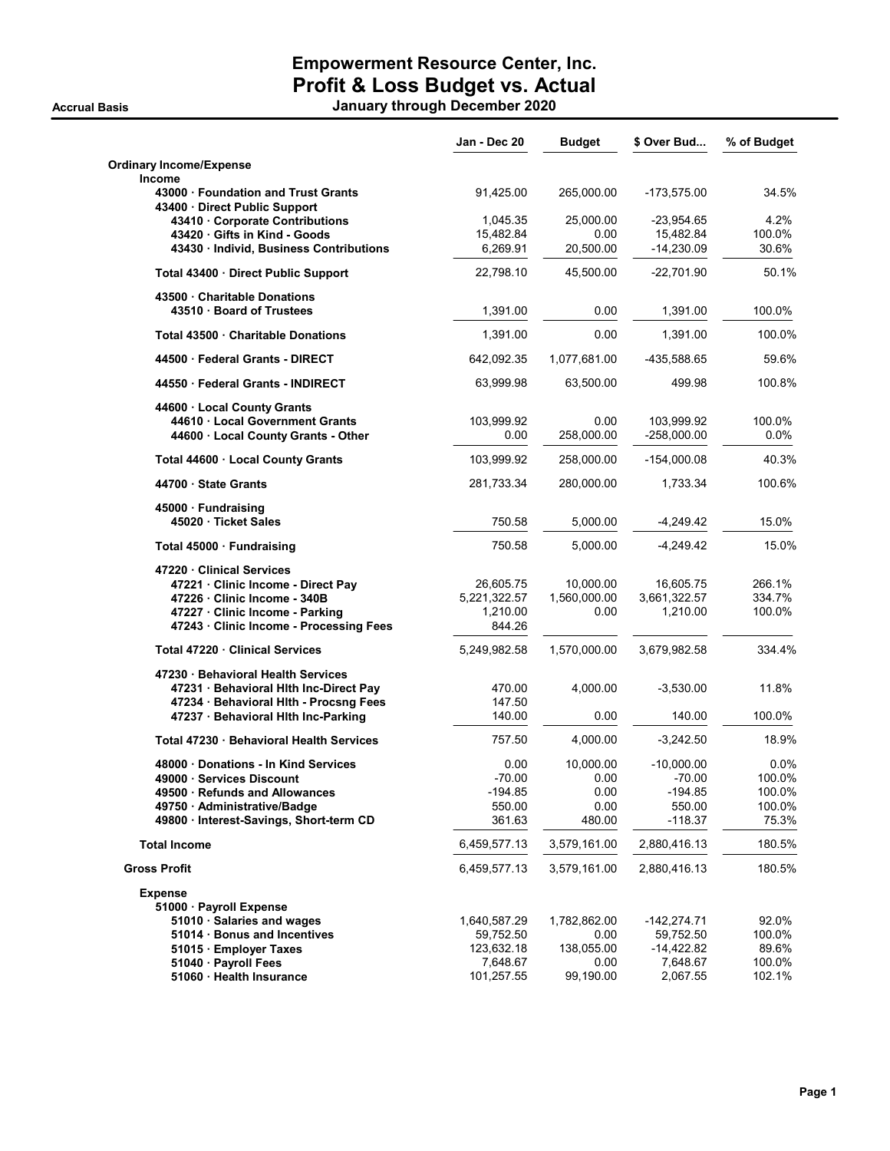# Empowerment Resource Center, Inc. Profit & Loss Budget vs. Actual

Accrual Basis January through December 2020

|                                                                          | Jan - Dec 20            | <b>Budget</b>      | \$ Over Bud                 | % of Budget       |
|--------------------------------------------------------------------------|-------------------------|--------------------|-----------------------------|-------------------|
| <b>Ordinary Income/Expense</b><br><b>Income</b>                          |                         |                    |                             |                   |
| 43000 Foundation and Trust Grants<br>43400 Direct Public Support         | 91,425.00               | 265,000.00         | -173,575.00                 | 34.5%             |
| 43410 Corporate Contributions                                            | 1,045.35                | 25,000.00          | -23,954.65                  | 4.2%              |
| 43420 Gifts in Kind - Goods                                              | 15,482.84               | 0.00               | 15,482.84                   | 100.0%            |
| 43430 Individ, Business Contributions                                    | 6,269.91                | 20,500.00          | $-14,230.09$                | 30.6%             |
| Total 43400 · Direct Public Support                                      | 22,798.10               | 45,500.00          | $-22,701.90$                | 50.1%             |
| 43500 Charitable Donations<br>43510 · Board of Trustees                  |                         |                    |                             | 100.0%            |
|                                                                          | 1,391.00                | 0.00               | 1,391.00                    |                   |
| Total 43500 Charitable Donations                                         | 1,391.00                | 0.00               | 1,391.00                    | 100.0%            |
| 44500 Federal Grants - DIRECT                                            | 642,092.35              | 1,077,681.00       | -435,588.65                 | 59.6%             |
| 44550 · Federal Grants - INDIRECT                                        | 63,999.98               | 63,500.00          | 499.98                      | 100.8%            |
| 44600 Local County Grants                                                |                         |                    |                             |                   |
| 44610 · Local Government Grants<br>44600 · Local County Grants - Other   | 103,999.92<br>0.00      | 0.00<br>258,000.00 | 103,999.92<br>$-258,000.00$ | 100.0%<br>$0.0\%$ |
| Total 44600 · Local County Grants                                        | 103,999.92              | 258,000.00         | -154,000.08                 | 40.3%             |
| 44700 State Grants                                                       | 281,733.34              | 280,000.00         | 1,733.34                    | 100.6%            |
| $45000 \cdot$ Fundraising                                                |                         |                    |                             |                   |
| 45020 Ticket Sales                                                       | 750.58                  | 5,000.00           | $-4,249.42$                 | 15.0%             |
| Total 45000 · Fundraising                                                | 750.58                  | 5,000.00           | $-4,249.42$                 | 15.0%             |
| 47220 Clinical Services                                                  |                         |                    |                             |                   |
| 47221 Clinic Income - Direct Pay                                         | 26,605.75               | 10,000.00          | 16,605.75                   | 266.1%            |
| 47226 · Clinic Income - 340B                                             | 5,221,322.57            | 1,560,000.00       | 3,661,322.57                | 334.7%            |
| 47227 Clinic Income - Parking<br>47243 · Clinic Income - Processing Fees | 1,210.00<br>844.26      | 0.00               | 1,210.00                    | 100.0%            |
| Total 47220 · Clinical Services                                          | 5,249,982.58            | 1,570,000.00       | 3,679,982.58                | 334.4%            |
| 47230 Behavioral Health Services                                         |                         |                    |                             |                   |
| 47231 · Behavioral Hith Inc-Direct Pay                                   | 470.00                  | 4,000.00           | $-3,530.00$                 | 11.8%             |
| 47234 · Behavioral Hith - Procsng Fees                                   | 147.50                  |                    |                             |                   |
| 47237 · Behavioral Hith Inc-Parking                                      | 140.00                  | 0.00               | 140.00                      | 100.0%            |
| Total 47230 · Behavioral Health Services                                 | 757.50                  | 4,000.00           | $-3,242.50$                 | 18.9%             |
| 48000 Donations - In Kind Services                                       | 0.00                    | 10,000.00          | $-10,000.00$                | 0.0%              |
| 49000 · Services Discount                                                | $-70.00$                | 0.00               | $-70.00$                    | 100.0%            |
| 49500 · Refunds and Allowances                                           | $-194.85$               | 0.00               | $-194.85$                   | 100.0%            |
| 49750 - Administrative/Badge                                             | 550.00                  | 0.00               | 550.00                      | 100.0%            |
| 49800 · Interest-Savings, Short-term CD                                  | 361.63                  | 480.00             | $-118.37$                   | 75.3%             |
| <b>Total Income</b>                                                      | 6,459,577.13            | 3,579,161.00       | 2,880,416.13                | 180.5%            |
| <b>Gross Profit</b>                                                      | 6,459,577.13            | 3,579,161.00       | 2,880,416.13                | 180.5%            |
| <b>Expense</b>                                                           |                         |                    |                             |                   |
| 51000 · Payroll Expense                                                  |                         |                    |                             |                   |
| 51010 · Salaries and wages                                               | 1,640,587.29            | 1,782,862.00       | $-142,274.71$               | 92.0%             |
| 51014 Bonus and Incentives                                               | 59,752.50<br>123,632.18 | 0.00<br>138,055.00 | 59,752.50<br>$-14,422.82$   | 100.0%<br>89.6%   |
| 51015 · Employer Taxes<br>51040 · Payroll Fees                           | 7,648.67                | 0.00               | 7,648.67                    | 100.0%            |
| 51060 · Health Insurance                                                 | 101,257.55              | 99,190.00          | 2,067.55                    | 102.1%            |
|                                                                          |                         |                    |                             |                   |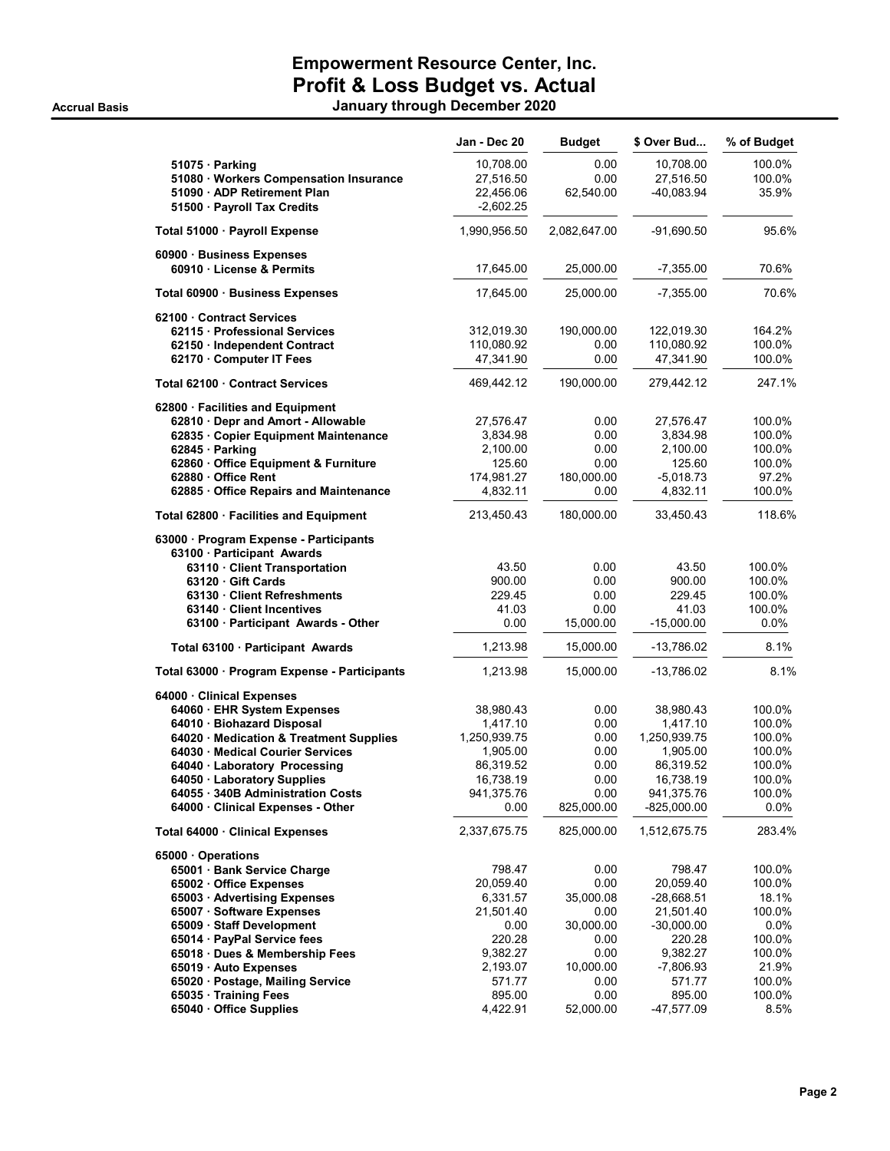## Empowerment Resource Center, Inc. Profit & Loss Budget vs. Actual Accrual Basis January through December 2020

|                                              | Jan - Dec 20 | <b>Budget</b> | \$ Over Bud   | % of Budget |
|----------------------------------------------|--------------|---------------|---------------|-------------|
| 51075 Parking                                | 10,708.00    | 0.00          | 10,708.00     | 100.0%      |
| 51080 · Workers Compensation Insurance       | 27,516.50    | 0.00          | 27,516.50     | 100.0%      |
| 51090 ADP Retirement Plan                    | 22,456.06    | 62,540.00     | $-40,083.94$  | 35.9%       |
|                                              |              |               |               |             |
| 51500 · Payroll Tax Credits                  | $-2,602.25$  |               |               |             |
| Total 51000 · Payroll Expense                | 1,990,956.50 | 2,082,647.00  | $-91,690.50$  | 95.6%       |
| 60900 · Business Expenses                    |              |               |               |             |
| 60910 License & Permits                      | 17,645.00    | 25,000.00     | -7,355.00     | 70.6%       |
| Total 60900 · Business Expenses              | 17,645.00    | 25,000.00     | -7,355.00     | 70.6%       |
| 62100 Contract Services                      |              |               |               |             |
| 62115 Professional Services                  | 312,019.30   | 190,000.00    | 122,019.30    | 164.2%      |
| 62150 · Independent Contract                 | 110,080.92   | 0.00          | 110,080.92    | 100.0%      |
| 62170 · Computer IT Fees                     | 47,341.90    | 0.00          | 47,341.90     | 100.0%      |
| Total 62100 Contract Services                | 469,442.12   | 190,000.00    | 279,442.12    | 247.1%      |
| 62800 · Facilities and Equipment             |              |               |               |             |
| 62810 · Depr and Amort - Allowable           | 27,576.47    | 0.00          | 27,576.47     | 100.0%      |
| 62835 Copier Equipment Maintenance           | 3,834.98     | 0.00          | 3,834.98      | 100.0%      |
| 62845 Parking                                | 2,100.00     | 0.00          | 2,100.00      | 100.0%      |
| 62860 · Office Equipment & Furniture         | 125.60       | 0.00          | 125.60        | 100.0%      |
| 62880 Office Rent                            | 174,981.27   | 180,000.00    | $-5,018.73$   | 97.2%       |
| 62885 Office Repairs and Maintenance         | 4,832.11     | 0.00          | 4,832.11      | 100.0%      |
| Total 62800 · Facilities and Equipment       | 213,450.43   | 180,000.00    | 33,450.43     | 118.6%      |
| 63000 · Program Expense - Participants       |              |               |               |             |
| 63100 · Participant Awards                   |              |               |               |             |
| 63110 · Client Transportation                | 43.50        | 0.00          | 43.50         | 100.0%      |
| 63120 Gift Cards                             | 900.00       | 0.00          | 900.00        | 100.0%      |
| 63130 Client Refreshments                    | 229.45       | 0.00          | 229.45        | 100.0%      |
| 63140 Client Incentives                      | 41.03        | 0.00          | 41.03         | 100.0%      |
| 63100 · Participant Awards - Other           | 0.00         | 15,000.00     | $-15,000.00$  | $0.0\%$     |
| Total 63100 · Participant Awards             | 1,213.98     | 15,000.00     | -13,786.02    | 8.1%        |
| Total 63000 · Program Expense - Participants | 1,213.98     | 15,000.00     | -13,786.02    | 8.1%        |
| 64000 · Clinical Expenses                    |              |               |               |             |
| 64060 · EHR System Expenses                  | 38,980.43    | 0.00          | 38,980.43     | 100.0%      |
| 64010 · Biohazard Disposal                   | 1,417.10     | 0.00          | 1,417.10      | 100.0%      |
| 64020 · Medication & Treatment Supplies      | 1,250,939.75 | 0.00          | 1,250,939.75  | 100.0%      |
| 64030 · Medical Courier Services             | 1,905.00     | 0.00          | 1,905.00      | 100.0%      |
| 64040 Laboratory Processing                  | 86,319.52    | 0.00          | 86,319.52     | 100.0%      |
| 64050 · Laboratory Supplies                  | 16,738.19    | 0.00          | 16,738.19     | 100.0%      |
| 64055 340B Administration Costs              | 941,375.76   | 0.00          | 941,375.76    | 100.0%      |
| 64000 Clinical Expenses - Other              | 0.00         | 825,000.00    | $-825,000.00$ | $0.0\%$     |
| Total 64000 · Clinical Expenses              | 2,337,675.75 | 825,000.00    | 1,512,675.75  | 283.4%      |
| 65000 · Operations                           |              |               |               |             |
| 65001 Bank Service Charge                    | 798.47       | 0.00          | 798.47        | 100.0%      |
| 65002 Office Expenses                        | 20,059.40    | 0.00          | 20,059.40     | 100.0%      |
| 65003 · Advertising Expenses                 | 6,331.57     | 35,000.08     | $-28,668.51$  | 18.1%       |
| 65007 · Software Expenses                    | 21,501.40    | 0.00          | 21,501.40     | 100.0%      |
| 65009 · Staff Development                    | 0.00         | 30,000.00     | $-30,000.00$  | $0.0\%$     |
| 65014 · PayPal Service fees                  | 220.28       | 0.00          | 220.28        | 100.0%      |
| 65018 Dues & Membership Fees                 | 9,382.27     | 0.00          | 9,382.27      | 100.0%      |
| 65019 Auto Expenses                          | 2,193.07     | 10,000.00     | -7,806.93     | 21.9%       |
| 65020 Postage, Mailing Service               | 571.77       | 0.00          | 571.77        | 100.0%      |
| 65035 · Training Fees                        | 895.00       | 0.00          | 895.00        | 100.0%      |
| 65040 Office Supplies                        | 4,422.91     | 52,000.00     | -47,577.09    | 8.5%        |
|                                              |              |               |               |             |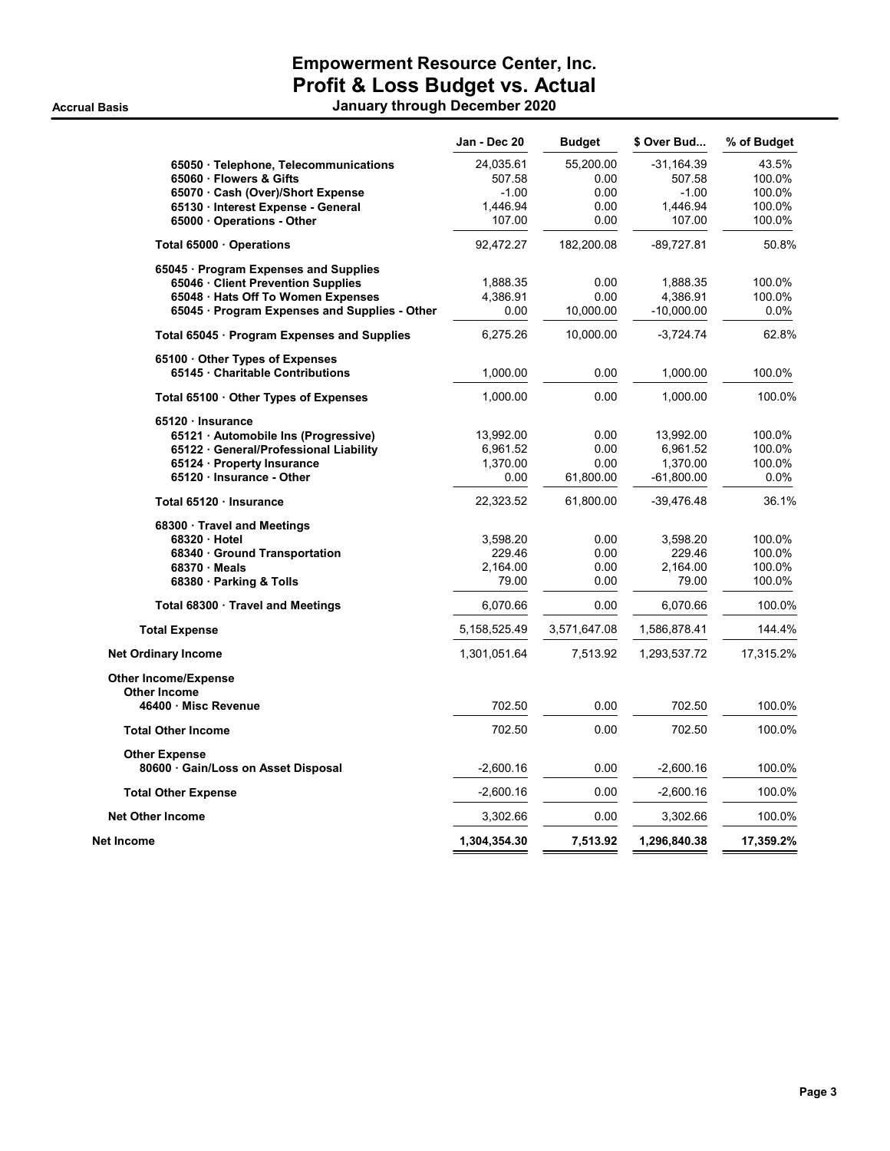## Empowerment Resource Center, Inc. Profit & Loss Budget vs. Actual Accrual Basis January through December 2020

|                                                                                                                                                                  | Jan - Dec 20                              | <b>Budget</b>                     | \$ Over Bud                                       | % of Budget                           |
|------------------------------------------------------------------------------------------------------------------------------------------------------------------|-------------------------------------------|-----------------------------------|---------------------------------------------------|---------------------------------------|
| 65050 · Telephone, Telecommunications<br>65060 · Flowers & Gifts                                                                                                 | 24,035.61<br>507.58<br>$-1.00$            | 55,200.00<br>0.00<br>0.00         | -31,164.39<br>507.58<br>$-1.00$                   | 43.5%<br>100.0%<br>100.0%             |
| 65070 · Cash (Over)/Short Expense<br>65130 · Interest Expense - General<br>65000 Operations - Other                                                              | 1,446.94<br>107.00                        | 0.00<br>0.00                      | 1,446.94<br>107.00                                | 100.0%<br>100.0%                      |
| Total 65000 Operations                                                                                                                                           | 92,472.27                                 | 182,200.08                        | $-89,727.81$                                      | 50.8%                                 |
| 65045 · Program Expenses and Supplies<br>65046 Client Prevention Supplies<br>65048 · Hats Off To Women Expenses<br>65045 · Program Expenses and Supplies - Other | 1,888.35<br>4,386.91<br>0.00              | 0.00<br>0.00<br>10,000.00         | 1,888.35<br>4,386.91<br>$-10,000.00$              | 100.0%<br>100.0%<br>$0.0\%$           |
| Total 65045 · Program Expenses and Supplies                                                                                                                      | 6,275.26                                  | 10,000.00                         | -3,724.74                                         | 62.8%                                 |
| 65100 Other Types of Expenses<br>65145 Charitable Contributions                                                                                                  | 1,000.00                                  | 0.00                              | 1,000.00                                          | 100.0%                                |
| Total 65100 · Other Types of Expenses                                                                                                                            | 1,000.00                                  | 0.00                              | 1,000.00                                          | 100.0%                                |
| 65120 · Insurance<br>65121 · Automobile Ins (Progressive)<br>65122 · General/Professional Liability<br>65124 · Property Insurance<br>65120 Insurance - Other     | 13,992.00<br>6,961.52<br>1,370.00<br>0.00 | 0.00<br>0.00<br>0.00<br>61,800.00 | 13,992.00<br>6,961.52<br>1,370.00<br>$-61,800.00$ | 100.0%<br>100.0%<br>100.0%<br>$0.0\%$ |
| Total 65120 · Insurance                                                                                                                                          | 22,323.52                                 | 61,800.00                         | -39,476.48                                        | 36.1%                                 |
| 68300 Travel and Meetings<br>68320 Hotel<br>68340 Ground Transportation<br>68370 Meals<br>68380 · Parking & Tolls                                                | 3,598.20<br>229.46<br>2,164.00<br>79.00   | 0.00<br>0.00<br>0.00<br>0.00      | 3,598.20<br>229.46<br>2,164.00<br>79.00           | 100.0%<br>100.0%<br>100.0%<br>100.0%  |
| Total 68300 · Travel and Meetings                                                                                                                                | 6,070.66                                  | 0.00                              | 6,070.66                                          | 100.0%                                |
| <b>Total Expense</b>                                                                                                                                             | 5, 158, 525.49                            | 3,571,647.08                      | 1,586,878.41                                      | 144.4%                                |
| <b>Net Ordinary Income</b>                                                                                                                                       | 1,301,051.64                              | 7,513.92                          | 1,293,537.72                                      | 17,315.2%                             |
| <b>Other Income/Expense</b><br>Other Income<br>46400 Misc Revenue                                                                                                | 702.50                                    | 0.00                              | 702.50                                            | 100.0%                                |
| <b>Total Other Income</b>                                                                                                                                        | 702.50                                    | 0.00                              | 702.50                                            | 100.0%                                |
| <b>Other Expense</b>                                                                                                                                             |                                           |                                   |                                                   |                                       |
| 80600 Gain/Loss on Asset Disposal                                                                                                                                | $-2,600.16$                               | 0.00                              | $-2,600.16$                                       | 100.0%                                |
| <b>Total Other Expense</b>                                                                                                                                       | $-2,600.16$                               | 0.00                              | $-2,600.16$                                       | 100.0%                                |
| <b>Net Other Income</b>                                                                                                                                          | 3,302.66                                  | 0.00                              | 3,302.66                                          | 100.0%                                |
| Net Income                                                                                                                                                       | 1,304,354.30                              | 7,513.92                          | 1,296,840.38                                      | 17,359.2%                             |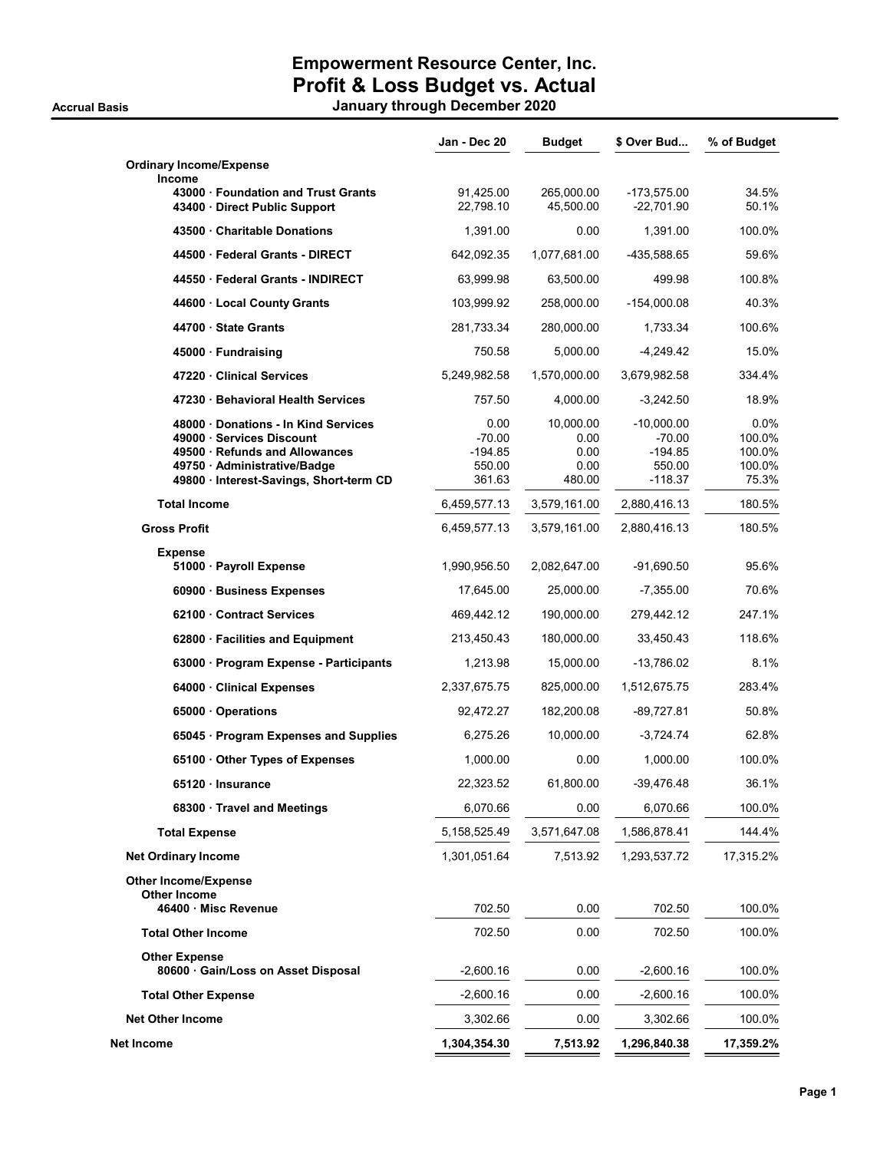# Empowerment Resource Center, Inc. Profit & Loss Budget vs. Actual

Accrual Basis January through December 2020

|                                                                                                                                                                              | Jan - Dec 20                                    | <b>Budget</b>                               | \$ Over Bud                                                  | % of Budget                                 |
|------------------------------------------------------------------------------------------------------------------------------------------------------------------------------|-------------------------------------------------|---------------------------------------------|--------------------------------------------------------------|---------------------------------------------|
| <b>Ordinary Income/Expense</b><br>Income                                                                                                                                     |                                                 |                                             |                                                              |                                             |
| 43000 Foundation and Trust Grants<br>43400 Direct Public Support                                                                                                             | 91,425.00<br>22,798.10                          | 265,000.00<br>45,500.00                     | -173,575.00<br>$-22,701.90$                                  | 34.5%<br>50.1%                              |
| 43500 Charitable Donations                                                                                                                                                   | 1,391.00                                        | 0.00                                        | 1,391.00                                                     | 100.0%                                      |
| 44500 Federal Grants - DIRECT                                                                                                                                                | 642,092.35                                      | 1,077,681.00                                | -435,588.65                                                  | 59.6%                                       |
| 44550 Federal Grants - INDIRECT                                                                                                                                              | 63,999.98                                       | 63,500.00                                   | 499.98                                                       | 100.8%                                      |
| 44600 · Local County Grants                                                                                                                                                  | 103,999.92                                      | 258,000.00                                  | $-154,000.08$                                                | 40.3%                                       |
| 44700 State Grants                                                                                                                                                           | 281,733.34                                      | 280,000.00                                  | 1,733.34                                                     | 100.6%                                      |
| 45000 · Fundraising                                                                                                                                                          | 750.58                                          | 5,000.00                                    | -4,249.42                                                    | 15.0%                                       |
| 47220 Clinical Services                                                                                                                                                      | 5,249,982.58                                    | 1,570,000.00                                | 3,679,982.58                                                 | 334.4%                                      |
| 47230 Behavioral Health Services                                                                                                                                             | 757.50                                          | 4,000.00                                    | $-3,242.50$                                                  | 18.9%                                       |
| 48000 Donations - In Kind Services<br>49000 · Services Discount<br>49500 · Refunds and Allowances<br>49750 - Administrative/Badge<br>49800 · Interest-Savings, Short-term CD | 0.00<br>$-70.00$<br>-194.85<br>550.00<br>361.63 | 10,000.00<br>0.00<br>0.00<br>0.00<br>480.00 | $-10,000.00$<br>$-70.00$<br>$-194.85$<br>550.00<br>$-118.37$ | 0.0%<br>100.0%<br>100.0%<br>100.0%<br>75.3% |
| <b>Total Income</b>                                                                                                                                                          | 6,459,577.13                                    | 3,579,161.00                                | 2,880,416.13                                                 | 180.5%                                      |
| <b>Gross Profit</b>                                                                                                                                                          | 6,459,577.13                                    | 3,579,161.00                                | 2,880,416.13                                                 | 180.5%                                      |
| <b>Expense</b><br>51000 · Payroll Expense                                                                                                                                    | 1,990,956.50                                    | 2,082,647.00                                | $-91,690.50$                                                 | 95.6%                                       |
| 60900 · Business Expenses                                                                                                                                                    | 17,645.00                                       | 25,000.00                                   | $-7,355.00$                                                  | 70.6%                                       |
| 62100 Contract Services                                                                                                                                                      | 469,442.12                                      | 190,000.00                                  | 279,442.12                                                   | 247.1%                                      |
| 62800 · Facilities and Equipment                                                                                                                                             | 213,450.43                                      | 180,000.00                                  | 33,450.43                                                    | 118.6%                                      |
| 63000 · Program Expense - Participants                                                                                                                                       | 1,213.98                                        | 15,000.00                                   | -13,786.02                                                   | 8.1%                                        |
| 64000 Clinical Expenses                                                                                                                                                      | 2,337,675.75                                    | 825,000.00                                  | 1,512,675.75                                                 | 283.4%                                      |
| 65000 Operations                                                                                                                                                             | 92,472.27                                       | 182,200.08                                  | -89,727.81                                                   | 50.8%                                       |
| 65045 · Program Expenses and Supplies                                                                                                                                        | 6,275.26                                        | 10,000.00                                   | $-3,724.74$                                                  | 62.8%                                       |
| 65100 Other Types of Expenses                                                                                                                                                | 1,000.00                                        | 0.00                                        | 1,000.00                                                     | 100.0%                                      |
| 65120 Insurance                                                                                                                                                              | 22,323.52                                       | 61,800.00                                   | -39,476.48                                                   | 36.1%                                       |
| 68300 Travel and Meetings                                                                                                                                                    | 6,070.66                                        | 0.00                                        | 6,070.66                                                     | 100.0%                                      |
| <b>Total Expense</b>                                                                                                                                                         | 5,158,525.49                                    | 3,571,647.08                                | 1,586,878.41                                                 | 144.4%                                      |
| <b>Net Ordinary Income</b>                                                                                                                                                   | 1,301,051.64                                    | 7,513.92                                    | 1,293,537.72                                                 | 17,315.2%                                   |
| <b>Other Income/Expense</b><br><b>Other Income</b>                                                                                                                           |                                                 |                                             |                                                              |                                             |
| 46400 Misc Revenue                                                                                                                                                           | 702.50                                          | 0.00                                        | 702.50                                                       | 100.0%                                      |
| <b>Total Other Income</b>                                                                                                                                                    | 702.50                                          | 0.00                                        | 702.50                                                       | 100.0%                                      |
| <b>Other Expense</b><br>80600 Gain/Loss on Asset Disposal                                                                                                                    | $-2,600.16$                                     | 0.00                                        | $-2,600.16$                                                  | 100.0%                                      |
| <b>Total Other Expense</b>                                                                                                                                                   | $-2,600.16$                                     | 0.00                                        | $-2,600.16$                                                  | 100.0%                                      |
| <b>Net Other Income</b>                                                                                                                                                      | 3,302.66                                        | 0.00                                        | 3,302.66                                                     | 100.0%                                      |
| <b>Net Income</b>                                                                                                                                                            | 1,304,354.30                                    | 7,513.92                                    | 1,296,840.38                                                 | 17,359.2%                                   |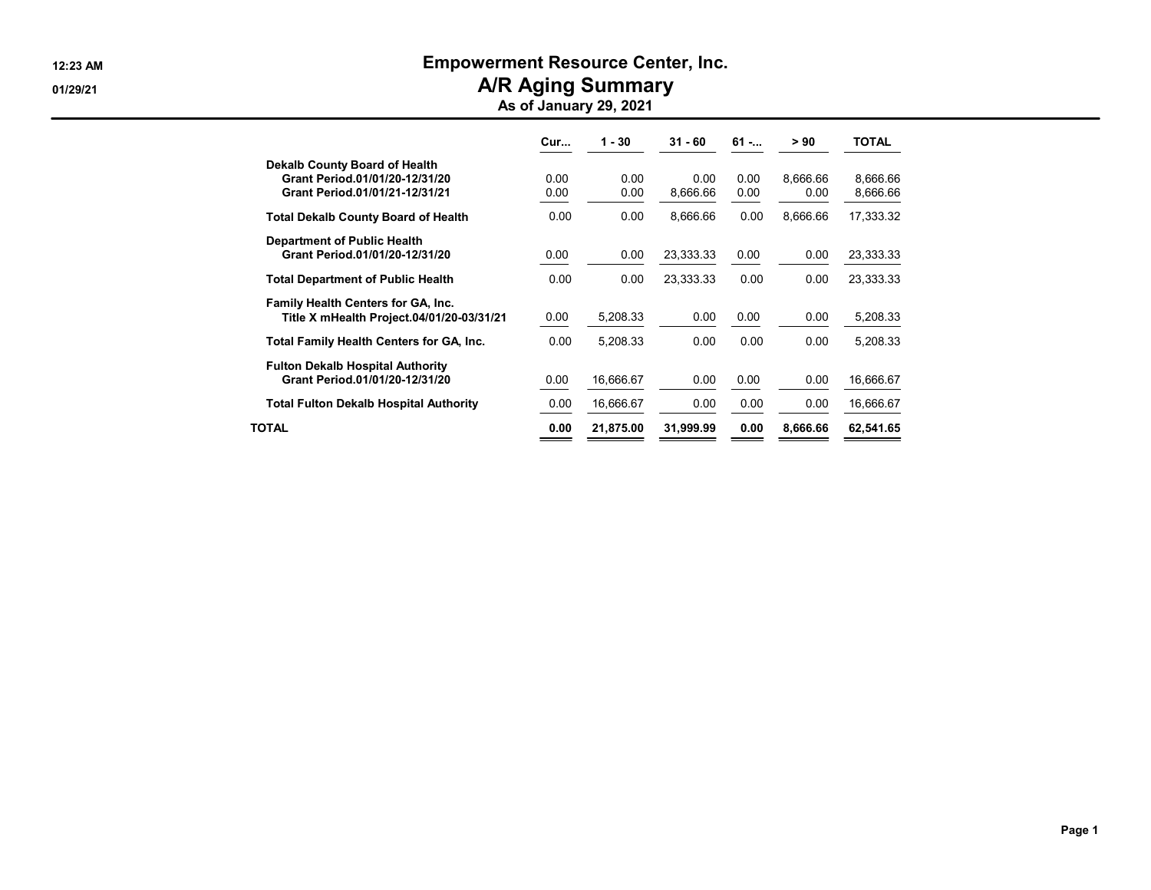## 12:23 AM Empowerment Resource Center, Inc.

01/29/21 **A/R Aging Summary** 

As of January 29, 2021

|                                               | Cur  | $1 - 30$  | $31 - 60$ | $61 - $ | > 90     | <b>TOTAL</b> |
|-----------------------------------------------|------|-----------|-----------|---------|----------|--------------|
| Dekalb County Board of Health                 |      |           |           |         |          |              |
| Grant Period.01/01/20-12/31/20                | 0.00 | 0.00      | 0.00      | 0.00    | 8.666.66 | 8.666.66     |
| Grant Period.01/01/21-12/31/21                | 0.00 | 0.00      | 8,666.66  | 0.00    | 0.00     | 8,666.66     |
| <b>Total Dekalb County Board of Health</b>    | 0.00 | 0.00      | 8,666.66  | 0.00    | 8.666.66 | 17,333.32    |
| <b>Department of Public Health</b>            |      |           |           |         |          |              |
| Grant Period.01/01/20-12/31/20                | 0.00 | 0.00      | 23,333.33 | 0.00    | 0.00     | 23,333.33    |
| <b>Total Department of Public Health</b>      | 0.00 | 0.00      | 23,333.33 | 0.00    | 0.00     | 23,333.33    |
| Family Health Centers for GA, Inc.            |      |           |           |         |          |              |
| Title X mHealth Project.04/01/20-03/31/21     | 0.00 | 5,208.33  | 0.00      | 0.00    | 0.00     | 5,208.33     |
| Total Family Health Centers for GA, Inc.      | 0.00 | 5.208.33  | 0.00      | 0.00    | 0.00     | 5.208.33     |
| <b>Fulton Dekalb Hospital Authority</b>       |      |           |           |         |          |              |
| Grant Period.01/01/20-12/31/20                | 0.00 | 16,666.67 | 0.00      | 0.00    | 0.00     | 16,666.67    |
| <b>Total Fulton Dekalb Hospital Authority</b> | 0.00 | 16,666.67 | 0.00      | 0.00    | 0.00     | 16,666.67    |
| TOTAL                                         | 0.00 | 21,875.00 | 31,999.99 | 0.00    | 8,666.66 | 62,541.65    |